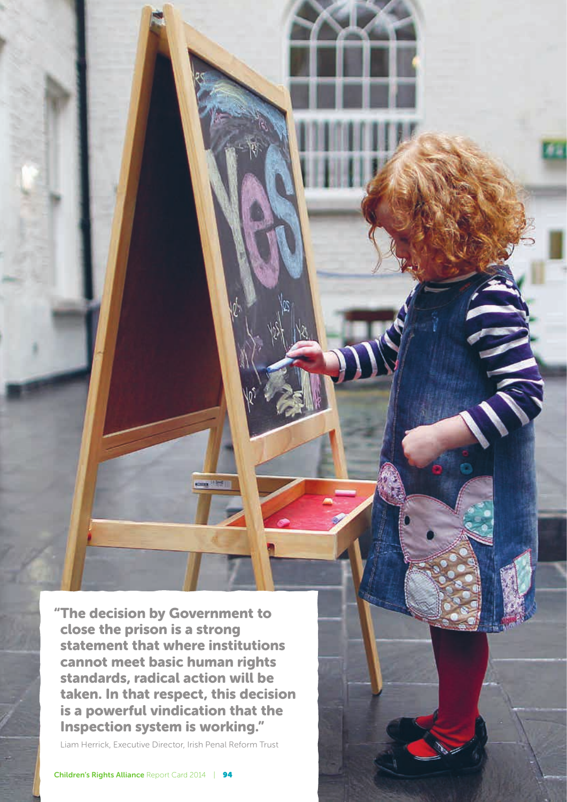"The decision by Government to close the prison is a strong statement that where institutions cannot meet basic human rights standards, radical action will be taken. In that respect, this decision is a powerful vindication that the Inspection system is working."

com (199

Liam Herrick, Executive Director, Irish Penal Reform Trust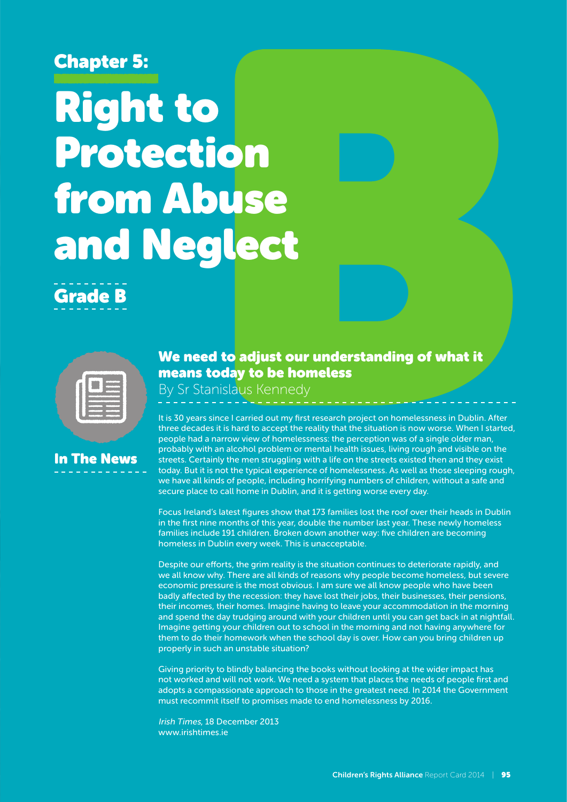## Chapter 5:

# Right to Protection from Abuse and Neglect

## Grade B



## In The News

#### We need to adjust our understanding of what it means today to be homeless

By Sr Stanislaus Kennedy

It is 30 years since I carried out my first research project on homelessness in Dublin. After three decades it is hard to accept the reality that the situation is now worse. When I started, people had a narrow view of homelessness: the perception was of a single older man, probably with an alcohol problem or mental health issues, living rough and visible on the streets. Certainly the men struggling with a life on the streets existed then and they exist today. But it is not the typical experience of homelessness. As well as those sleeping rough, we have all kinds of people, including horrifying numbers of children, without a safe and secure place to call home in Dublin, and it is getting worse every day.

Focus Ireland's latest figures show that 173 families lost the roof over their heads in Dublin in the first nine months of this year, double the number last year. These newly homeless families include 191 children. Broken down another way: five children are becoming homeless in Dublin every week. This is unacceptable.

Despite our efforts, the grim reality is the situation continues to deteriorate rapidly, and we all know why. There are all kinds of reasons why people become homeless, but severe economic pressure is the most obvious. I am sure we all know people who have been badly affected by the recession: they have lost their jobs, their businesses, their pensions, their incomes, their homes. Imagine having to leave your accommodation in the morning and spend the day trudging around with your children until you can get back in at nightfall. Imagine getting your children out to school in the morning and not having anywhere for them to do their homework when the school day is over. How can you bring children up properly in such an unstable situation?

Giving priority to blindly balancing the books without looking at the wider impact has not worked and will not work. We need a system that places the needs of people first and adopts a compassionate approach to those in the greatest need. In 2014 the Government must recommit itself to promises made to end homelessness by 2016.

Irish Times, 18 December 2013 www.irishtimes.ie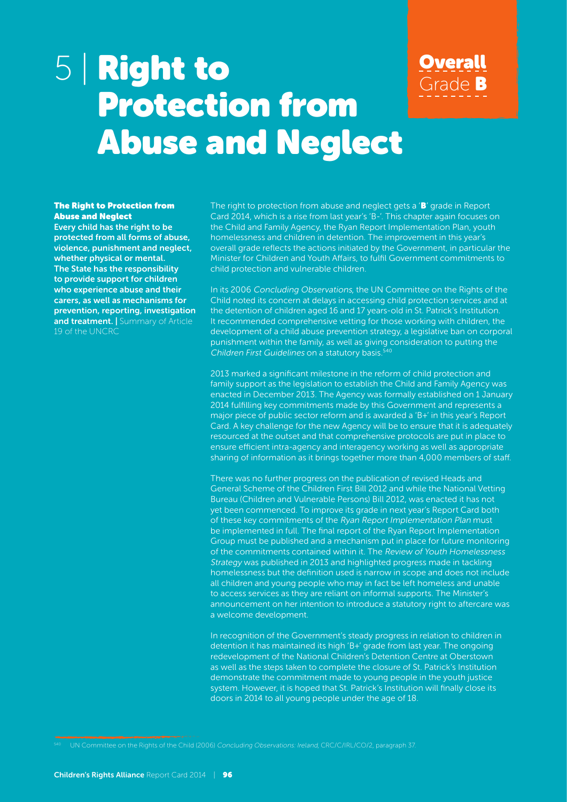## 5 | Right to Protection from Abuse and Neglect

#### The Right to Protection from Abuse and Neglect

Every child has the right to be protected from all forms of abuse, violence, punishment and neglect, whether physical or mental. The State has the responsibility to provide support for children who experience abuse and their carers, as well as mechanisms for prevention, reporting, investigation and treatment. | Summary of Article 19 of the UNCRC

The right to protection from abuse and neglect gets a 'B' grade in Report Card 2014, which is a rise from last year's 'B-'. This chapter again focuses on the Child and Family Agency, the Ryan Report Implementation Plan, youth homelessness and children in detention. The improvement in this year's overall grade reflects the actions initiated by the Government, in particular the Minister for Children and Youth Affairs, to fulfil Government commitments to child protection and vulnerable children.

**Overall** 

Grade B

In its 2006 Concluding Observations, the UN Committee on the Rights of the Child noted its concern at delays in accessing child protection services and at the detention of children aged 16 and 17 years-old in St. Patrick's Institution. It recommended comprehensive vetting for those working with children, the development of a child abuse prevention strategy, a legislative ban on corporal punishment within the family, as well as giving consideration to putting the Children First Guidelines on a statutory basis.<sup>540</sup>

2013 marked a significant milestone in the reform of child protection and family support as the legislation to establish the Child and Family Agency was enacted in December 2013. The Agency was formally established on 1 January 2014 fulfilling key commitments made by this Government and represents a major piece of public sector reform and is awarded a 'B+' in this year's Report Card. A key challenge for the new Agency will be to ensure that it is adequately resourced at the outset and that comprehensive protocols are put in place to ensure efficient intra-agency and interagency working as well as appropriate sharing of information as it brings together more than 4,000 members of staff.

There was no further progress on the publication of revised Heads and General Scheme of the Children First Bill 2012 and while the National Vetting Bureau (Children and Vulnerable Persons) Bill 2012, was enacted it has not yet been commenced. To improve its grade in next year's Report Card both of these key commitments of the Ryan Report Implementation Plan must be implemented in full. The final report of the Ryan Report Implementation Group must be published and a mechanism put in place for future monitoring of the commitments contained within it. The Review of Youth Homelessness Strategy was published in 2013 and highlighted progress made in tackling homelessness but the definition used is narrow in scope and does not include all children and young people who may in fact be left homeless and unable to access services as they are reliant on informal supports. The Minister's announcement on her intention to introduce a statutory right to aftercare was a welcome development.

In recognition of the Government's steady progress in relation to children in detention it has maintained its high 'B+' grade from last year. The ongoing redevelopment of the National Children's Detention Centre at Oberstown as well as the steps taken to complete the closure of St. Patrick's Institution demonstrate the commitment made to young people in the youth justice system. However, it is hoped that St. Patrick's Institution will finally close its doors in 2014 to all young people under the age of 18.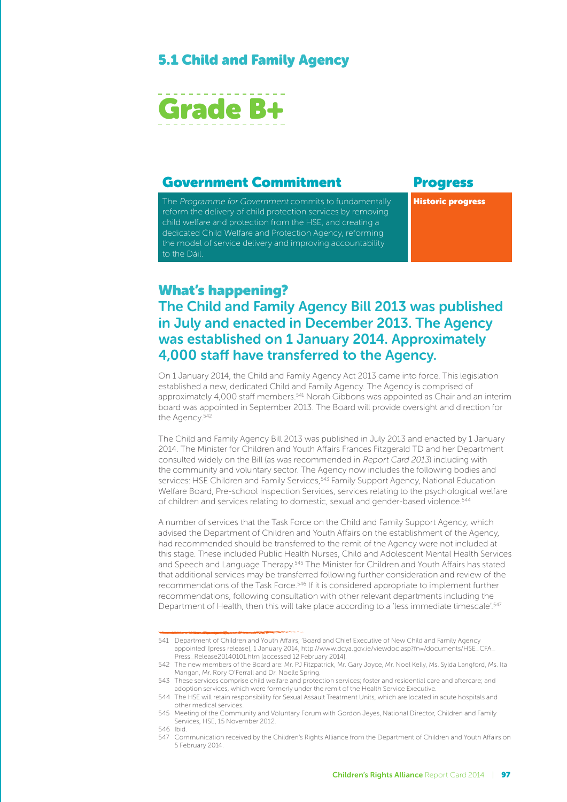#### 5.1 Child and Family Agency



#### Government Commitment Progress

The Programme for Government commits to fundamentally reform the delivery of child protection services by removing child welfare and protection from the HSE, and creating a dedicated Child Welfare and Protection Agency, reforming the model of service delivery and improving accountability to the Dáil.

Historic progress

#### What's happening?

### The Child and Family Agency Bill 2013 was published in July and enacted in December 2013. The Agency was established on 1 January 2014. Approximately 4,000 staff have transferred to the Agency.

On 1 January 2014, the Child and Family Agency Act 2013 came into force. This legislation established a new, dedicated Child and Family Agency. The Agency is comprised of approximately 4,000 staff members.<sup>541</sup> Norah Gibbons was appointed as Chair and an interim board was appointed in September 2013. The Board will provide oversight and direction for the Agency.<sup>542</sup>

The Child and Family Agency Bill 2013 was published in July 2013 and enacted by 1 January 2014. The Minister for Children and Youth Affairs Frances Fitzgerald TD and her Department consulted widely on the Bill (as was recommended in Report Card 2013) including with the community and voluntary sector. The Agency now includes the following bodies and services: HSE Children and Family Services, 543 Family Support Agency, National Education Welfare Board, Pre-school Inspection Services, services relating to the psychological welfare of children and services relating to domestic, sexual and gender-based violence.<sup>544</sup>

A number of services that the Task Force on the Child and Family Support Agency, which advised the Department of Children and Youth Affairs on the establishment of the Agency, had recommended should be transferred to the remit of the Agency were not included at this stage. These included Public Health Nurses, Child and Adolescent Mental Health Services and Speech and Language Therapy.<sup>545</sup> The Minister for Children and Youth Affairs has stated that additional services may be transferred following further consideration and review of the recommendations of the Task Force.546 If it is considered appropriate to implement further recommendations, following consultation with other relevant departments including the Department of Health, then this will take place according to a 'less immediate timescale'.<sup>547</sup>

<sup>541</sup> Department of Children and Youth Affairs, 'Board and Chief Executive of New Child and Family Agency appointed' [press release], 1 January 2014, http://www.dcya.gov.ie/viewdoc.asp?fn=/documents/HSE\_CFA\_ Press\_Release20140101.htm [accessed 12 February 2014].

<sup>542</sup> The new members of the Board are: Mr. PJ Fitzpatrick, Mr. Gary Joyce, Mr. Noel Kelly, Ms. Sylda Langford, Ms. Ita Mangan, Mr. Rory O'Ferrall and Dr. Noelle Spring.

<sup>543</sup> These services comprise child welfare and protection services; foster and residential care and aftercare; and adoption services, which were formerly under the remit of the Health Service Executive.

<sup>544</sup> The HSE will retain responsibility for Sexual Assault Treatment Units, which are located in acute hospitals and other medical services.

<sup>545</sup> Meeting of the Community and Voluntary Forum with Gordon Jeyes, National Director, Children and Family Services, HSE, 15 November 2012.

<sup>546</sup> Ibid.

<sup>547</sup> Communication received by the Children's Rights Alliance from the Department of Children and Youth Affairs on 5 February 2014.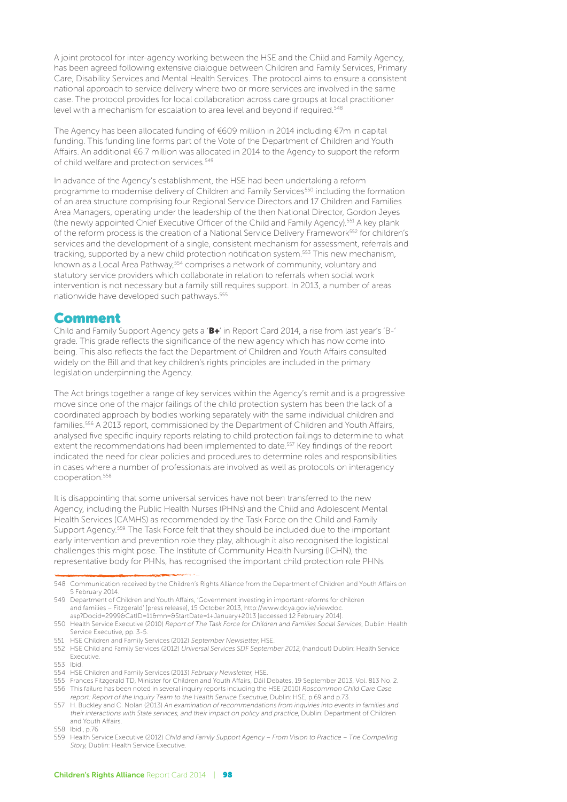A joint protocol for inter-agency working between the HSE and the Child and Family Agency, has been agreed following extensive dialogue between Children and Family Services, Primary Care, Disability Services and Mental Health Services. The protocol aims to ensure a consistent national approach to service delivery where two or more services are involved in the same case. The protocol provides for local collaboration across care groups at local practitioner level with a mechanism for escalation to area level and beyond if required.<sup>548</sup>

The Agency has been allocated funding of €609 million in 2014 including €7m in capital funding. This funding line forms part of the Vote of the Department of Children and Youth Affairs. An additional €6.7 million was allocated in 2014 to the Agency to support the reform of child welfare and protection services.<sup>549</sup>

In advance of the Agency's establishment, the HSE had been undertaking a reform programme to modernise delivery of Children and Family Services<sup>550</sup> including the formation of an area structure comprising four Regional Service Directors and 17 Children and Families Area Managers, operating under the leadership of the then National Director, Gordon Jeyes (the newly appointed Chief Executive Officer of the Child and Family Agency).551 A key plank of the reform process is the creation of a National Service Delivery Framework<sup>552</sup> for children's services and the development of a single, consistent mechanism for assessment, referrals and tracking, supported by a new child protection notification system.553 This new mechanism, known as a Local Area Pathway, <sup>554</sup> comprises a network of community, voluntary and statutory service providers which collaborate in relation to referrals when social work intervention is not necessary but a family still requires support. In 2013, a number of areas nationwide have developed such pathways.<sup>555</sup>

#### Comment

Child and Family Support Agency gets a 'B+' in Report Card 2014, a rise from last year's 'B-' grade. This grade reflects the significance of the new agency which has now come into being. This also reflects the fact the Department of Children and Youth Affairs consulted widely on the Bill and that key children's rights principles are included in the primary legislation underpinning the Agency.

The Act brings together a range of key services within the Agency's remit and is a progressive move since one of the major failings of the child protection system has been the lack of a coordinated approach by bodies working separately with the same individual children and families.556 A 2013 report, commissioned by the Department of Children and Youth Affairs, analysed five specific inquiry reports relating to child protection failings to determine to what extent the recommendations had been implemented to date.<sup>557</sup> Key findings of the report indicated the need for clear policies and procedures to determine roles and responsibilities in cases where a number of professionals are involved as well as protocols on interagency cooperation.558

It is disappointing that some universal services have not been transferred to the new Agency, including the Public Health Nurses (PHNs) and the Child and Adolescent Mental Health Services (CAMHS) as recommended by the Task Force on the Child and Family Support Agency.559 The Task Force felt that they should be included due to the important early intervention and prevention role they play, although it also recognised the logistical challenges this might pose. The Institute of Community Health Nursing (ICHN), the representative body for PHNs, has recognised the important child protection role PHNs

551 HSE Children and Family Services (2012) September Newsletter, HSE.

<sup>548</sup> Communication received by the Children's Rights Alliance from the Department of Children and Youth Affairs on 5 February 2014.

<sup>549</sup> Department of Children and Youth Affairs, 'Government investing in important reforms for children and families – Fitzgerald' [press release], 15 October 2013, http://www.dcya.gov.ie/viewdoc. asp?Docid=2999&CatID=11&mn=&StartDate=1+January+2013 [accessed 12 February 2014].

<sup>550</sup> Health Service Executive (2010) Report of The Task Force for Children and Families Social Services, Dublin: Health Service Executive, pp. 3-5.

<sup>552</sup> HSE Child and Family Services (2012) Universal Services SDF September 2012, (handout) Dublin: Health Service **Executive** 

<sup>553</sup> Ibid.

<sup>554</sup> HSE Children and Family Services (2013) February Newsletter, HSE.

<sup>555</sup> Frances Fitzgerald TD, Minister for Children and Youth Affairs, Dáil Debates, 19 September 2013, Vol. 813 No. 2. 556 This failure has been noted in several inquiry reports including the HSE (2010) Roscommon Child Care Case report: Report of the Inquiry Team to the Health Service Executive, Dublin: HSE, p.69 and p.73.

<sup>557</sup> H. Buckley and C. Nolan (2013) An examination of recommendations from inquiries into events in families and their interactions with State services, and their impact on policy and practice, Dublin: Department of Children and Youth Affairs.

<sup>558</sup> Ibid., p.76

<sup>559</sup> Health Service Executive (2012) Child and Family Support Agency – From Vision to Practice – The Compelling Story, Dublin: Health Service Executive.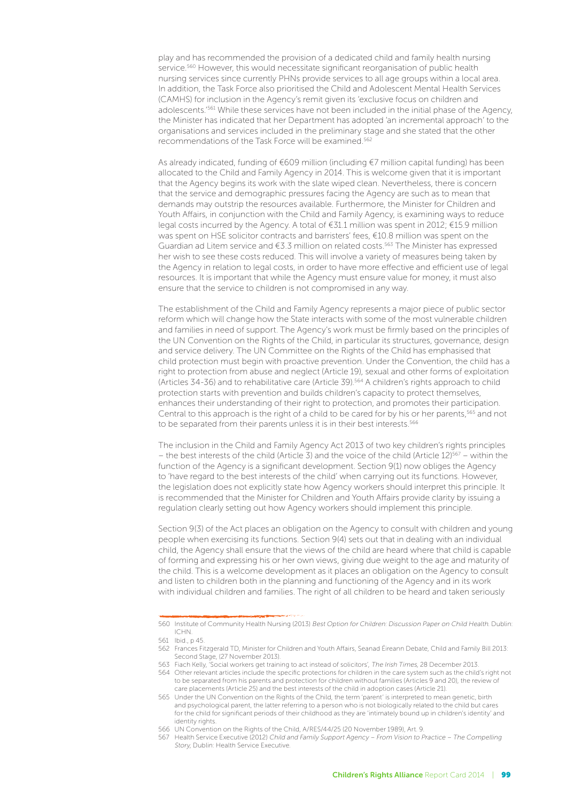play and has recommended the provision of a dedicated child and family health nursing service.<sup>560</sup> However, this would necessitate significant reorganisation of public health nursing services since currently PHNs provide services to all age groups within a local area. In addition, the Task Force also prioritised the Child and Adolescent Mental Health Services (CAMHS) for inclusion in the Agency's remit given its 'exclusive focus on children and adolescents.'561 While these services have not been included in the initial phase of the Agency, the Minister has indicated that her Department has adopted 'an incremental approach' to the organisations and services included in the preliminary stage and she stated that the other recommendations of the Task Force will be examined.562

As already indicated, funding of €609 million (including €7 million capital funding) has been allocated to the Child and Family Agency in 2014. This is welcome given that it is important that the Agency begins its work with the slate wiped clean. Nevertheless, there is concern that the service and demographic pressures facing the Agency are such as to mean that demands may outstrip the resources available. Furthermore, the Minister for Children and Youth Affairs, in conjunction with the Child and Family Agency, is examining ways to reduce legal costs incurred by the Agency. A total of €31.1 million was spent in 2012; €15.9 million was spent on HSE solicitor contracts and barristers' fees, €10.8 million was spent on the Guardian ad Litem service and  $63.3$  million on related costs.<sup>563</sup> The Minister has expressed her wish to see these costs reduced. This will involve a variety of measures being taken by the Agency in relation to legal costs, in order to have more effective and efficient use of legal resources. It is important that while the Agency must ensure value for money, it must also ensure that the service to children is not compromised in any way.

The establishment of the Child and Family Agency represents a major piece of public sector reform which will change how the State interacts with some of the most vulnerable children and families in need of support. The Agency's work must be firmly based on the principles of the UN Convention on the Rights of the Child, in particular its structures, governance, design and service delivery. The UN Committee on the Rights of the Child has emphasised that child protection must begin with proactive prevention. Under the Convention, the child has a right to protection from abuse and neglect (Article 19), sexual and other forms of exploitation (Articles 34-36) and to rehabilitative care (Article 39).564 A children's rights approach to child protection starts with prevention and builds children's capacity to protect themselves, enhances their understanding of their right to protection, and promotes their participation. Central to this approach is the right of a child to be cared for by his or her parents,<sup>565</sup> and not to be separated from their parents unless it is in their best interests.<sup>566</sup>

The inclusion in the Child and Family Agency Act 2013 of two key children's rights principles – the best interests of the child (Article 3) and the voice of the child (Article 12)<sup>567</sup> – within the function of the Agency is a significant development. Section 9(1) now obliges the Agency to 'have regard to the best interests of the child' when carrying out its functions. However, the legislation does not explicitly state how Agency workers should interpret this principle. It is recommended that the Minister for Children and Youth Affairs provide clarity by issuing a regulation clearly setting out how Agency workers should implement this principle.

Section 9(3) of the Act places an obligation on the Agency to consult with children and young people when exercising its functions. Section 9(4) sets out that in dealing with an individual child, the Agency shall ensure that the views of the child are heard where that child is capable of forming and expressing his or her own views, giving due weight to the age and maturity of the child. This is a welcome development as it places an obligation on the Agency to consult and listen to children both in the planning and functioning of the Agency and in its work with individual children and families. The right of all children to be heard and taken seriously

<sup>560</sup> Institute of Community Health Nursing (2013) Best Option for Children: Discussion Paper on Child Health. Dublin: ICHN.

<sup>561</sup> Ibid., p 45.

<sup>562</sup> Frances Fitzgerald TD, Minister for Children and Youth Affairs, Seanad Éireann Debate, Child and Family Bill 2013: Second Stage, (27 November 2013).

<sup>563</sup> Fiach Kelly, 'Social workers get training to act instead of solicitors', The Irish Times, 28 December 2013.

<sup>564</sup> Other relevant articles include the specific protections for children in the care system such as the child's right not to be separated from his parents and protection for children without families (Articles 9 and 20), the review of care placements (Article 25) and the best interests of the child in adoption cases (Article 21).

<sup>565</sup> Under the UN Convention on the Rights of the Child, the term 'parent' is interpreted to mean genetic, birth and psychological parent, the latter referring to a person who is not biologically related to the child but cares for the child for significant periods of their childhood as they are 'intimately bound up in children's identity' and identity rights.

<sup>566</sup> UN Convention on the Rights of the Child, A/RES/44/25 (20 November 1989), Art. 9.

<sup>567</sup> Health Service Executive (2012) Child and Family Support Agency – From Vision to Practice – The Compelling Story, Dublin: Health Service Executive.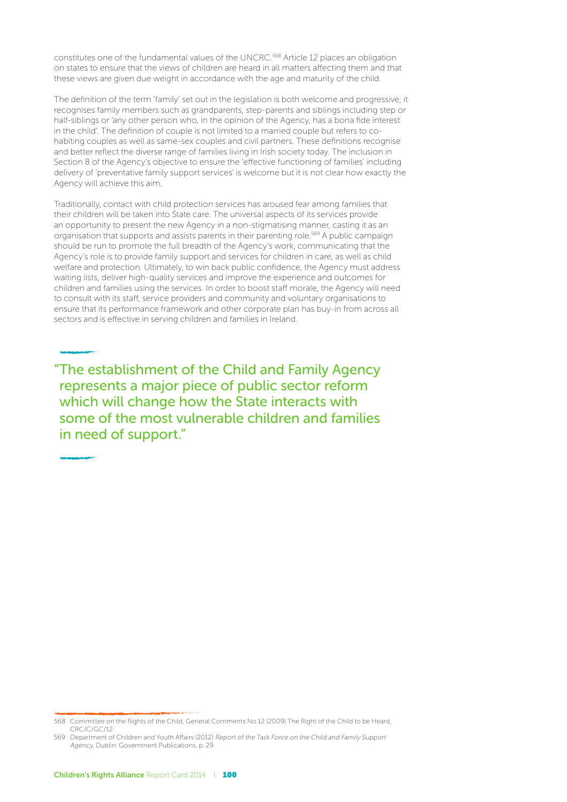constitutes one of the fundamental values of the UNCRC.<sup>568</sup> Article 12 places an obligation on states to ensure that the views of children are heard in all matters affecting them and that these views are given due weight in accordance with the age and maturity of the child.

The definition of the term 'family' set out in the legislation is both welcome and progressive; it recognises family members such as grandparents, step-parents and siblings including step or half-siblings or 'any other person who, in the opinion of the Agency, has a bona fide interest in the child'. The definition of couple is not limited to a married couple but refers to cohabiting couples as well as same-sex couples and civil partners. These definitions recognise and better reflect the diverse range of families living in Irish society today. The inclusion in Section 8 of the Agency's objective to ensure the 'effective functioning of families' including delivery of 'preventative family support services' is welcome but it is not clear how exactly the Agency will achieve this aim.

Traditionally, contact with child protection services has aroused fear among families that their children will be taken into State care. The universal aspects of its services provide an opportunity to present the new Agency in a non-stigmatising manner, casting it as an organisation that supports and assists parents in their parenting role.569 A public campaign should be run to promote the full breadth of the Agency's work, communicating that the Agency's role is to provide family support and services for children in care, as well as child welfare and protection. Ultimately, to win back public confidence, the Agency must address waiting lists, deliver high-quality services and improve the experience and outcomes for children and families using the services. In order to boost staff morale, the Agency will need to consult with its staff, service providers and community and voluntary organisations to ensure that its performance framework and other corporate plan has buy-in from across all sectors and is effective in serving children and families in Ireland.

"The establishment of the Child and Family Agency represents a major piece of public sector reform which will change how the State interacts with some of the most vulnerable children and families in need of support."

<sup>568</sup> Committee on the Rights of the Child, General Comments No.12 (2009) The Right of the Child to be Heard, CRC/C/GC/12

<sup>569</sup> Department of Children and Youth Affairs (2012) Report of the Task Force on the Child and Family Support Agency, Dublin: Government Publications, p. 29.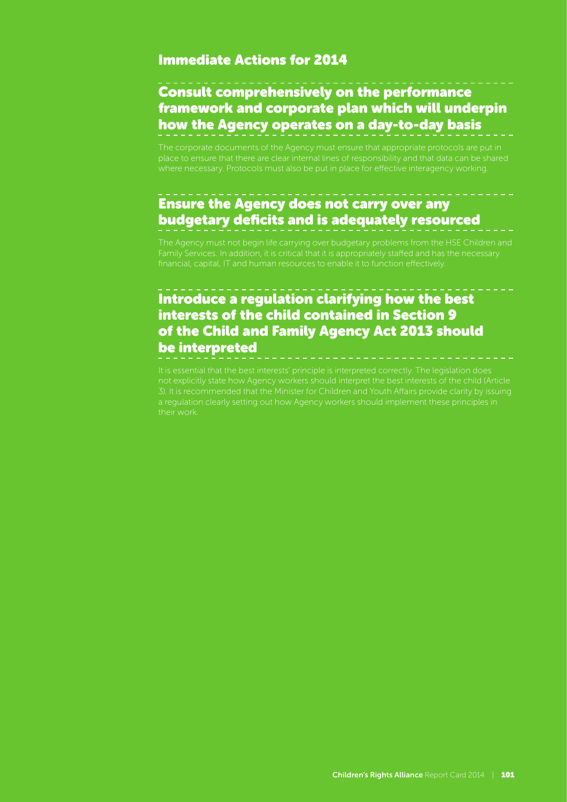#### Immediate Actions for 2014

## Consult comprehensively on the performance framework and corporate plan which will underpin how the Agency operates on a day-to-day basis

The corporate documents of the Agency must ensure that appropriate protocols are put in place to ensure that there are clear internal lines of responsibility and that data can be shared where necessary. Protocols must also be put in place for effective interagency working.

## Ensure the Agency does not carry over any budgetary deficits and is adequately resourced

## Introduce a regulation clarifying how the best interests of the child contained in Section 9 of the Child and Family Agency Act 2013 should be interpreted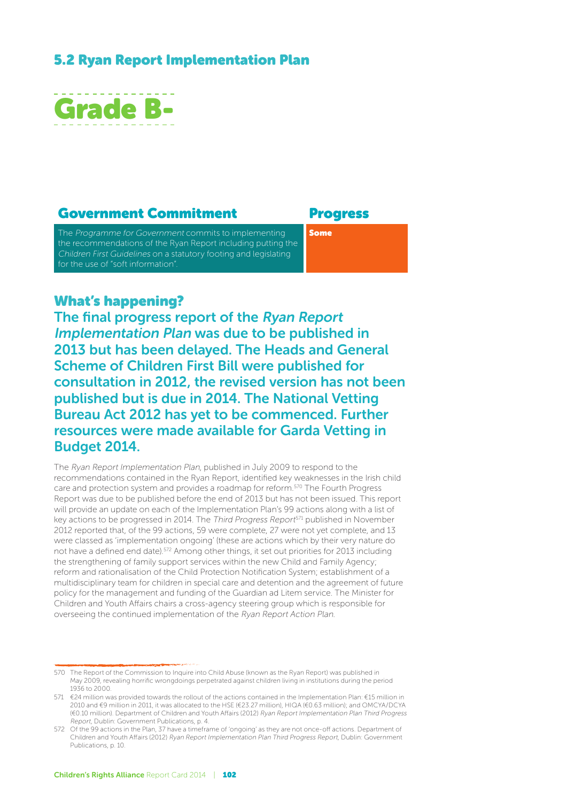#### 5.2 Ryan Report Implementation Plan



#### Government Commitment Progress

The Programme for Government commits to implementing the recommendations of the Ryan Report including putting the Children First Guidelines on a statutory footing and legislating for the use of "soft information".

Some

#### What's happening?

The final progress report of the Ryan Report Implementation Plan was due to be published in 2013 but has been delayed. The Heads and General Scheme of Children First Bill were published for consultation in 2012, the revised version has not been published but is due in 2014. The National Vetting Bureau Act 2012 has yet to be commenced. Further resources were made available for Garda Vetting in Budget 2014.

The Ryan Report Implementation Plan, published in July 2009 to respond to the recommendations contained in the Ryan Report, identified key weaknesses in the Irish child care and protection system and provides a roadmap for reform.570 The Fourth Progress Report was due to be published before the end of 2013 but has not been issued. This report will provide an update on each of the Implementation Plan's 99 actions along with a list of key actions to be progressed in 2014. The Third Progress Report<sup>571</sup> published in November 2012 reported that, of the 99 actions, 59 were complete, 27 were not yet complete, and 13 were classed as 'implementation ongoing' (these are actions which by their very nature do not have a defined end date).572 Among other things, it set out priorities for 2013 including the strengthening of family support services within the new Child and Family Agency; reform and rationalisation of the Child Protection Notification System; establishment of a multidisciplinary team for children in special care and detention and the agreement of future policy for the management and funding of the Guardian ad Litem service. The Minister for Children and Youth Affairs chairs a cross-agency steering group which is responsible for overseeing the continued implementation of the Ryan Report Action Plan.

<sup>570</sup> The Report of the Commission to Inquire into Child Abuse (known as the Ryan Report) was published in May 2009, revealing horrific wrongdoings perpetrated against children living in institutions during the period 1936 to 2000.

<sup>571</sup> €24 million was provided towards the rollout of the actions contained in the Implementation Plan: €15 million in 2010 and €9 million in 2011, it was allocated to the HSE (€23.27 million), HIQA (€0.63 million); and OMCYA/DCYA (€0.10 million). Department of Children and Youth Affairs (2012) Ryan Report Implementation Plan Third Progress Report, Dublin: Government Publications, p. 4.

<sup>572</sup> Of the 99 actions in the Plan, 37 have a timeframe of 'ongoing' as they are not once-off actions. Department of Children and Youth Affairs (2012) Ryan Report Implementation Plan Third Progress Report, Dublin: Government Publications, p. 10.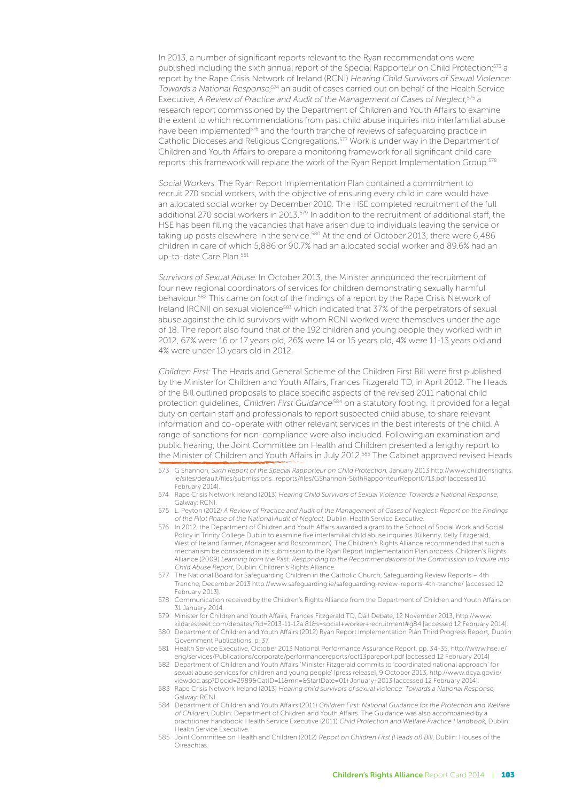In 2013, a number of significant reports relevant to the Ryan recommendations were published including the sixth annual report of the Special Rapporteur on Child Protection;<sup>573</sup> a report by the Rape Crisis Network of Ireland (RCNI) Hearing Child Survivors of Sexual Violence: Towards a National Response;<sup>574</sup> an audit of cases carried out on behalf of the Health Service Executive, A Review of Practice and Audit of the Management of Cases of Neglect;<sup>575</sup> a research report commissioned by the Department of Children and Youth Affairs to examine the extent to which recommendations from past child abuse inquiries into interfamilial abuse have been implemented<sup>576</sup> and the fourth tranche of reviews of safeguarding practice in Catholic Dioceses and Religious Congregations.577 Work is under way in the Department of Children and Youth Affairs to prepare a monitoring framework for all significant child care reports: this framework will replace the work of the Ryan Report Implementation Group.<sup>578</sup>

Social Workers: The Ryan Report Implementation Plan contained a commitment to recruit 270 social workers, with the objective of ensuring every child in care would have an allocated social worker by December 2010. The HSE completed recruitment of the full additional 270 social workers in 2013.<sup>579</sup> In addition to the recruitment of additional staff, the HSE has been filling the vacancies that have arisen due to individuals leaving the service or taking up posts elsewhere in the service.<sup>580</sup> At the end of October 2013, there were 6,486 children in care of which 5,886 or 90.7% had an allocated social worker and 89.6% had an up-to-date Care Plan.581

Survivors of Sexual Abuse: In October 2013, the Minister announced the recruitment of four new regional coordinators of services for children demonstrating sexually harmful behaviour.<sup>582</sup> This came on foot of the findings of a report by the Rape Crisis Network of Ireland (RCNI) on sexual violence<sup>583</sup> which indicated that 37% of the perpetrators of sexual abuse against the child survivors with whom RCNI worked were themselves under the age of 18. The report also found that of the 192 children and young people they worked with in 2012, 67% were 16 or 17 years old, 26% were 14 or 15 years old, 4% were 11-13 years old and 4% were under 10 years old in 2012.

Children First: The Heads and General Scheme of the Children First Bill were first published by the Minister for Children and Youth Affairs, Frances Fitzgerald TD, in April 2012. The Heads of the Bill outlined proposals to place specific aspects of the revised 2011 national child protection quidelines, Children First Guidance<sup>584</sup> on a statutory footing. It provided for a legal duty on certain staff and professionals to report suspected child abuse, to share relevant information and co-operate with other relevant services in the best interests of the child. A range of sanctions for non-compliance were also included. Following an examination and public hearing, the Joint Committee on Health and Children presented a lengthy report to the Minister of Children and Youth Affairs in July 2012.<sup>585</sup> The Cabinet approved revised Heads

- 573 G Shannon, Sixth Report of the Special Rapporteur on Child Protection, January 2013 http://www.childrensrights. ie/sites/default/files/submissions\_reports/files/GShannon-SixthRapporrteurReport0713.pdf [accessed 10 February 2014].
- 574 Rape Crisis Network Ireland (2013) Hearing Child Survivors of Sexual Violence: Towards a National Response, Galway: RCNI.
- 575 L. Peyton (2012) A Review of Practice and Audit of the Management of Cases of Neglect: Report on the Findings of the Pilot Phase of the National Audit of Neglect, Dublin: Health Service Executive.
- 576 In 2012, the Department of Children and Youth Affairs awarded a grant to the School of Social Work and Social Policy in Trinity College Dublin to examine five interfamilial child abuse inquiries (Kilkenny, Kelly Fitzgerald, West of Ireland Farmer, Monageer and Roscommon). The Children's Rights Alliance recommended that such a mechanism be considered in its submission to the Ryan Report Implementation Plan process. Children's Rights Alliance (2009) Learning from the Past: Responding to the Recommendations of the Commission to Inquire into Child Abuse Report, Dublin: Children's Rights Alliance.
- 577 The National Board for Safeguarding Children in the Catholic Church, Safeguarding Review Reports 4th Tranche, December 2013 http://www.safeguarding.ie/safeguarding-review-reports-4th-tranche/ [accessed 12 February 2013].
- 578 Communication received by the Children's Rights Alliance from the Department of Children and Youth Affairs on 31 January 2014.
- 579 Minister for Children and Youth Affairs, Frances Fitzgerald TD, Dáil Debate, 12 November 2013, http://www. kildarestreet.com/debates/?id=2013-11-12a.81&s=social+worker+recruitment#g84 [accessed 12 February 2014].
- 580 Department of Children and Youth Affairs (2012) Ryan Report Implementation Plan Third Progress Report, Dublin: Government Publications, p. 37.
- 581 Health Service Executive, October 2013 National Performance Assurance Report, pp. 34-35, http://www.hse.ie/ eng/services/Publications/corporate/performancereports/oct13pareport.pdf [accessed 12 February 2014]
- 582 Department of Children and Youth Affairs 'Minister Fitzgerald commits to 'coordinated national approach' for sexual abuse services for children and young people' [press release], 9 October 2013, http://www.dcya.gov.ie/ viewdoc.asp?Docid=2989&CatID=11&mn=&StartDate=01+January+2013 [accessed 12 February 2014]
- 583 Rape Crisis Network Ireland (2013) Hearing child survivors of sexual violence: Towards a National Response, Galway: RCNI.
- 584 Department of Children and Youth Affairs (2011) Children First: National Guidance for the Protection and Welfare of Children, Dublin: Department of Children and Youth Affairs. The Guidance was also accompanied by a practitioner handbook: Health Service Executive (2011) Child Protection and Welfare Practice Handbook, Dublin: Health Service Executive.
- 585 Joint Committee on Health and Children (2012) Report on Children First (Heads of) Bill, Dublin: Houses of the **Oireachtas**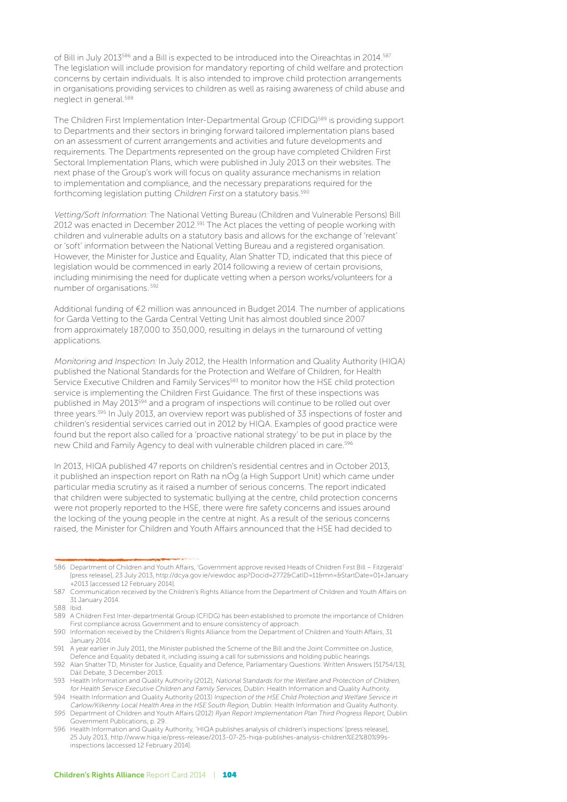of Bill in July 2013<sup>586</sup> and a Bill is expected to be introduced into the Oireachtas in 2014.<sup>587</sup> The legislation will include provision for mandatory reporting of child welfare and protection concerns by certain individuals. It is also intended to improve child protection arrangements in organisations providing services to children as well as raising awareness of child abuse and neglect in general.588

The Children First Implementation Inter-Departmental Group (CFIDG)589 is providing support to Departments and their sectors in bringing forward tailored implementation plans based on an assessment of current arrangements and activities and future developments and requirements. The Departments represented on the group have completed Children First Sectoral Implementation Plans, which were published in July 2013 on their websites. The next phase of the Group's work will focus on quality assurance mechanisms in relation to implementation and compliance, and the necessary preparations required for the forthcoming legislation putting Children First on a statutory basis.<sup>590</sup>

Vetting/Soft Information: The National Vetting Bureau (Children and Vulnerable Persons) Bill 2012 was enacted in December 2012.<sup>591</sup> The Act places the vetting of people working with children and vulnerable adults on a statutory basis and allows for the exchange of 'relevant' or 'soft' information between the National Vetting Bureau and a registered organisation. However, the Minister for Justice and Equality, Alan Shatter TD, indicated that this piece of legislation would be commenced in early 2014 following a review of certain provisions, including minimising the need for duplicate vetting when a person works/volunteers for a number of organisations..592

Additional funding of €2 million was announced in Budget 2014. The number of applications for Garda Vetting to the Garda Central Vetting Unit has almost doubled since 2007 from approximately 187,000 to 350,000, resulting in delays in the turnaround of vetting applications.

Monitoring and Inspection: In July 2012, the Health Information and Quality Authority (HIQA) published the National Standards for the Protection and Welfare of Children, for Health Service Executive Children and Family Services<sup>593</sup> to monitor how the HSE child protection service is implementing the Children First Guidance. The first of these inspections was published in May 2013594 and a program of inspections will continue to be rolled out over three years.<sup>595</sup> In July 2013, an overview report was published of 33 inspections of foster and children's residential services carried out in 2012 by HIQA. Examples of good practice were found but the report also called for a 'proactive national strategy' to be put in place by the new Child and Family Agency to deal with vulnerable children placed in care.<sup>596</sup>

In 2013, HIQA published 47 reports on children's residential centres and in October 2013, it published an inspection report on Rath na nÓg (a High Support Unit) which came under particular media scrutiny as it raised a number of serious concerns. The report indicated that children were subjected to systematic bullying at the centre, child protection concerns were not properly reported to the HSE, there were fire safety concerns and issues around the locking of the young people in the centre at night. As a result of the serious concerns raised, the Minister for Children and Youth Affairs announced that the HSE had decided to

<sup>586</sup> Department of Children and Youth Affairs, 'Government approve revised Heads of Children First Bill – Fitzgerald' [press release], 23 July 2013, http://dcya.gov.ie/viewdoc asp?Docid=2772&CatID=11&mn=&StartDate=01+January +2013 [accessed 12 February 2014].

<sup>587</sup> Communication received by the Children's Rights Alliance from the Department of Children and Youth Affairs on 31 January 2014.

<sup>588</sup> Ibid.

<sup>589</sup> A Children First Inter-departmental Group (CFIDG) has been established to promote the importance of Children First compliance across Government and to ensure consistency of approach.

<sup>590</sup> Information received by the Children's Rights Alliance from the Department of Children and Youth Affairs, 31 January 2014.

<sup>591</sup> A year earlier in July 2011, the Minister published the Scheme of the Bill and the Joint Committee on Justice, Defence and Equality debated it, including issuing a call for submissions and holding public hearings.

<sup>592</sup> Alan Shatter TD, Minister for Justice, Equality and Defence, Parliamentary Questions: Written Answers [51754/13], Dáil Debate, 3 December 2013.

<sup>593</sup> Health Information and Quality Authority (2012), National Standards for the Welfare and Protection of Children, for Health Service Executive Children and Family Services, Dublin: Health Information and Quality Authority.

<sup>594</sup> Health Information and Quality Authority (2013) Inspection of the HSE Child Protection and Welfare Service in Carlow/Kilkenny Local Health Area in the HSE South Region, Dublin: Health Information and Quality Authority.

<sup>595</sup> Department of Children and Youth Affairs (2012) Ryan Report Implementation Plan Third Progress Report, Dublin: Government Publications, p. 29.

<sup>596</sup> Health Information and Quality Authority, 'HIQA publishes analysis of children's inspections' [press release], 25 July 2013, http://www.hiqa.ie/press-release/2013-07-25-hiqa-publishes-analysis-children%E2%80%99sinspections [accessed 12 February 2014].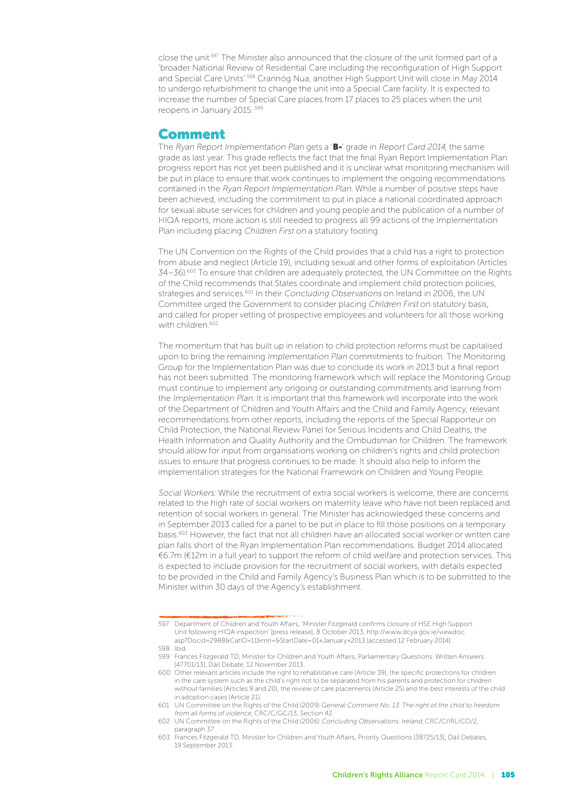close the unit<sup>.597</sup> The Minister also announced that the closure of the unit formed part of a 'broader National Review of Residential Care including the reconfiguration of High Support and Special Care Units'.598 Crannóg Nua, another High Support Unit will close in May 2014 to undergo refurbishment to change the unit into a Special Care facility. It is expected to increase the number of Special Care places from 17 places to 25 places when the unit reopens in January 2015..599

#### Comment

The Ryan Report Implementation Plan gets a 'B-' grade in Report Card 2014, the same grade as last year. This grade reflects the fact that the final Ryan Report Implementation Plan progress report has not yet been published and it is unclear what monitoring mechanism will be put in place to ensure that work continues to implement the ongoing recommendations contained in the Ryan Report Implementation Plan. While a number of positive steps have been achieved, including the commitment to put in place a national coordinated approach for sexual abuse services for children and young people and the publication of a number of HIQA reports, more action is still needed to progress all 99 actions of the Implementation Plan including placing Children First on a statutory footing.

The UN Convention on the Rights of the Child provides that a child has a right to protection from abuse and neglect (Article 19), including sexual and other forms of exploitation (Articles 34–36).<sup>600</sup> To ensure that children are adequately protected, the UN Committee on the Rights of the Child recommends that States coordinate and implement child protection policies, strategies and services.<sup>601</sup> In their Concluding Observations on Ireland in 2006, the UN Committee urged the Government to consider placing Children First on statutory basis, and called for proper vetting of prospective employees and volunteers for all those working with children.<sup>602</sup>

The momentum that has built up in relation to child protection reforms must be capitalised upon to bring the remaining Implementation Plan commitments to fruition. The Monitoring Group for the Implementation Plan was due to conclude its work in 2013 but a final report has not been submitted. The monitoring framework which will replace the Monitoring Group must continue to implement any ongoing or outstanding commitments and learning from the Implementation Plan. It is important that this framework will incorporate into the work of the Department of Children and Youth Affairs and the Child and Family Agency, relevant recommendations from other reports, including the reports of the Special Rapporteur on Child Protection, the National Review Panel for Serious Incidents and Child Deaths, the Health Information and Quality Authority and the Ombudsman for Children. The framework should allow for input from organisations working on children's rights and child protection issues to ensure that progress continues to be made. It should also help to inform the implementation strategies for the National Framework on Children and Young People.

Social Workers: While the recruitment of extra social workers is welcome, there are concerns related to the high rate of social workers on maternity leave who have not been replaced and retention of social workers in general. The Minister has acknowledged these concerns and in September 2013 called for a panel to be put in place to fill those positions on a temporary basis.603 However, the fact that not all children have an allocated social worker or written care plan falls short of the Ryan Implementation Plan recommendations. Budget 2014 allocated €6.7m (€12m in a full year) to support the reform of child welfare and protection services. This is expected to include provision for the recruitment of social workers, with details expected to be provided in the Child and Family Agency's Business Plan which is to be submitted to the Minister within 30 days of the Agency's establishment.

<sup>597</sup> Department of Children and Youth Affairs, 'Minister Fitzgerald confirms closure of HSE High Support Unit following HIQA inspection' [press release], 8 October 2013, http://www.dcya.gov.ie/viewdoc. asp?Docid=2988&CatID=11&mn=&StartDate=01+January+2013 [accessed 12 February 2014].

<sup>598</sup> Ibid.

<sup>599</sup> Frances Fitzgerald TD, Minister for Children and Youth Affairs, Parliamentary Questions: Written Answers [47701/13], Dáil Debate, 12 November 2013.

<sup>600</sup> Other relevant articles include the right to rehabilitative care (Article 39), the specific protections for children in the care system such as the child's right not to be separated from his parents and protection for children without families (Articles 9 and 20), the review of care placements (Article 25) and the best interests of the child in adoption cases (Article 21).

<sup>601</sup> UN Committee on the Rights of the Child (2009) General Comment No. 13: The right of the child to freedom from all forms of violence, CRC/C/GC/13, Section 42.

<sup>602</sup> UN Committee on the Rights of the Child (2006) Concluding Observations: Ireland, CRC/C/IRL/CO/2, paragraph 37.

<sup>603</sup> Frances Fitzgerald TD, Minister for Children and Youth Affairs, Priority Questions [38725/13], Dáil Debates, 19 September 2013.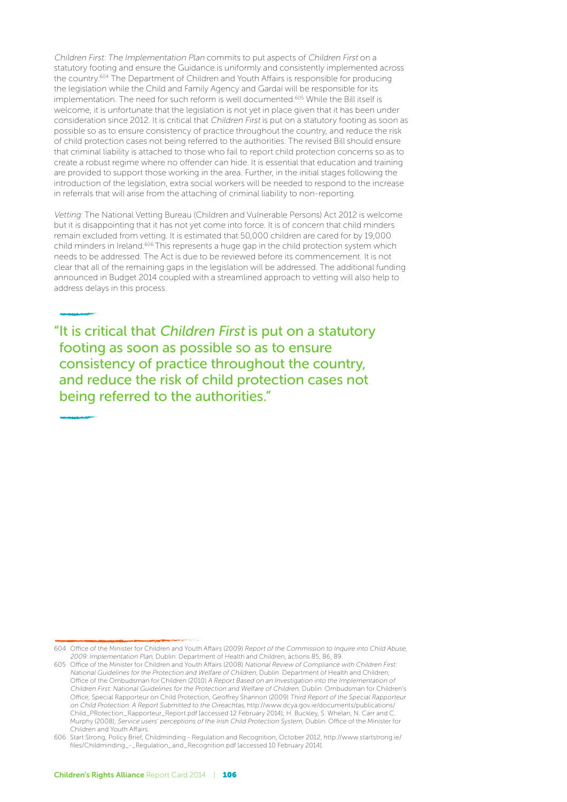Children First: The Implementation Plan commits to put aspects of Children First on a statutory footing and ensure the Guidance is uniformly and consistently implemented across the country.604 The Department of Children and Youth Affairs is responsible for producing the legislation while the Child and Family Agency and Gardaí will be responsible for its implementation. The need for such reform is well documented.<sup>605</sup> While the Bill itself is welcome, it is unfortunate that the legislation is not yet in place given that it has been under consideration since 2012. It is critical that Children First is put on a statutory footing as soon as possible so as to ensure consistency of practice throughout the country, and reduce the risk of child protection cases not being referred to the authorities. The revised Bill should ensure that criminal liability is attached to those who fail to report child protection concerns so as to create a robust regime where no offender can hide. It is essential that education and training are provided to support those working in the area. Further, in the initial stages following the introduction of the legislation, extra social workers will be needed to respond to the increase in referrals that will arise from the attaching of criminal liability to non-reporting.

Vetting: The National Vetting Bureau (Children and Vulnerable Persons) Act 2012 is welcome but it is disappointing that it has not yet come into force. It is of concern that child minders remain excluded from vetting. It is estimated that 50,000 children are cared for by 19,000 child minders in Ireland.606 This represents a huge gap in the child protection system which needs to be addressed. The Act is due to be reviewed before its commencement. It is not clear that all of the remaining gaps in the legislation will be addressed. The additional funding announced in Budget 2014 coupled with a streamlined approach to vetting will also help to address delays in this process.

"It is critical that Children First is put on a statutory footing as soon as possible so as to ensure consistency of practice throughout the country, and reduce the risk of child protection cases not being referred to the authorities."

<sup>604</sup> Office of the Minister for Children and Youth Affairs (2009) Report of the Commission to Inquire into Child Abuse, 2009: Implementation Plan, Dublin: Department of Health and Children, actions 85, 86, 89.

<sup>605</sup> Office of the Minister for Children and Youth Affairs (2008) National Review of Compliance with Children First: National Guidelines for the Protection and Welfare of Children, Dublin: Department of Health and Children; Office of the Ombudsman for Children (2010) A Report Based on an Investigation into the Implementation of Children First: National Guidelines for the Protection and Welfare of Children, Dublin: Ombudsman for Children's Office; Special Rapporteur on Child Protection, Geoffrey Shannon (2009) Third Report of the Special Rapporteur on Child Protection: A Report Submitted to the Oireachtas, http://www.dcya.gov.ie/documents/publications/ Child\_PRotection\_Rapporteur\_Report.pdf [accessed 12 February 2014]; H. Buckley, S. Whelan, N. Carr and C. Murphy (2008), Service users' perceptions of the Irish Child Protection System, Dublin: Office of the Minister for Children and Youth Affairs.

<sup>606</sup> Start Strong, Policy Brief, Childminding - Regulation and Recognition, October 2012, http://www.startstrong.ie/ files/Childminding\_-\_Regulation\_and\_Recognition.pdf [accessed 10 February 2014].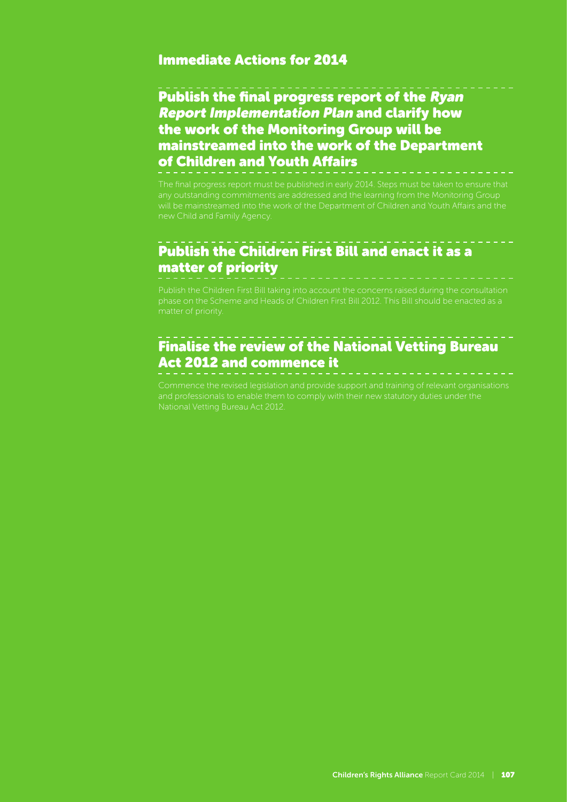#### Immediate Actions for 2014

## Publish the final progress report of the Ryan Report Implementation Plan and clarify how the work of the Monitoring Group will be mainstreamed into the work of the Department of Children and Youth Affairs

The final progress report must be published in early 2014. Steps must be taken to ensure that any outstanding commitments are addressed and the learning from the Monitoring Group will be mainstreamed into the work of the Department of Children and Youth Affairs and the

## Publish the Children First Bill and enact it as a matter of priority

## Finalise the review of the National Vetting Bureau Act 2012 and commence it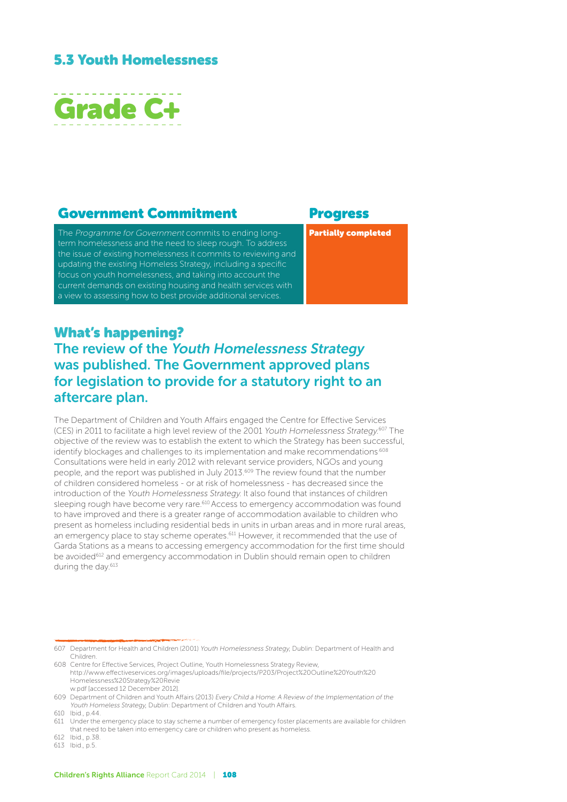#### 5.3 Youth Homelessness



#### Government Commitment Progress

The Programme for Government commits to ending longterm homelessness and the need to sleep rough. To address the issue of existing homelessness it commits to reviewing and updating the existing Homeless Strategy, including a specific focus on youth homelessness, and taking into account the current demands on existing housing and health services with a view to assessing how to best provide additional services.

Partially completed

#### What's happening? The review of the Youth Homelessness Strategy was published. The Government approved plans for legislation to provide for a statutory right to an aftercare plan.

The Department of Children and Youth Affairs engaged the Centre for Effective Services (CES) in 2011 to facilitate a high level review of the 2001 Youth Homelessness Strategy.<sup>607</sup> The objective of the review was to establish the extent to which the Strategy has been successful, identify blockages and challenges to its implementation and make recommendations.<sup>608</sup> Consultations were held in early 2012 with relevant service providers, NGOs and young people, and the report was published in July 2013.<sup>609</sup> The review found that the number of children considered homeless - or at risk of homelessness - has decreased since the introduction of the Youth Homelessness Strategy. It also found that instances of children sleeping rough have become very rare.610 Access to emergency accommodation was found to have improved and there is a greater range of accommodation available to children who present as homeless including residential beds in units in urban areas and in more rural areas, an emergency place to stay scheme operates.<sup>611</sup> However, it recommended that the use of Garda Stations as a means to accessing emergency accommodation for the first time should be avoided<sup>612</sup> and emergency accommodation in Dublin should remain open to children during the day.<sup>613</sup>

<sup>607</sup> Department for Health and Children (2001) Youth Homelessness Strategy, Dublin: Department of Health and Children.

<sup>608</sup> Centre for Effective Services, Project Outline, Youth Homelessness Strategy Review, http://www.effectiveservices.org/images/uploads/file/projects/P203/Project%20Outline%20Youth%20 Homelessness%20Strategy%20Revie w.pdf [accessed 12 December 2012].

<sup>609</sup> Department of Children and Youth Affairs (2013) Every Child a Home: A Review of the Implementation of the Youth Homeless Strategy, Dublin: Department of Children and Youth Affairs.

<sup>610</sup> Ibid., p.44.

<sup>611</sup> Under the emergency place to stay scheme a number of emergency foster placements are available for children that need to be taken into emergency care or children who present as homeless.

<sup>612</sup> Ibid., p.38.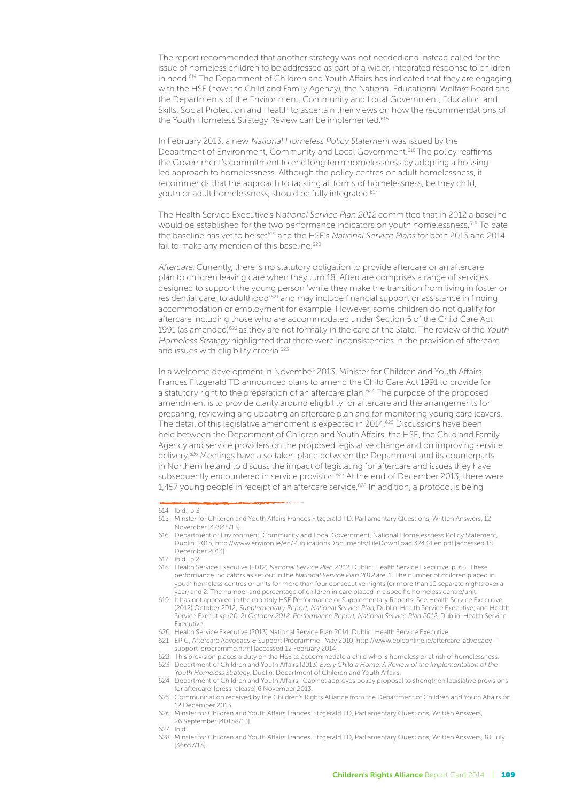The report recommended that another strategy was not needed and instead called for the issue of homeless children to be addressed as part of a wider, integrated response to children in need.<sup>614</sup> The Department of Children and Youth Affairs has indicated that they are engaging with the HSE (now the Child and Family Agency), the National Educational Welfare Board and the Departments of the Environment, Community and Local Government, Education and Skills, Social Protection and Health to ascertain their views on how the recommendations of the Youth Homeless Strategy Review can be implemented.<sup>615</sup>

In February 2013, a new National Homeless Policy Statement was issued by the Department of Environment, Community and Local Government.616 The policy reaffirms the Government's commitment to end long term homelessness by adopting a housing led approach to homelessness. Although the policy centres on adult homelessness, it recommends that the approach to tackling all forms of homelessness, be they child, youth or adult homelessness, should be fully integrated.<sup>617</sup>

The Health Service Executive's National Service Plan 2012 committed that in 2012 a baseline would be established for the two performance indicators on youth homelessness.618 To date the baseline has yet to be set<sup>619</sup> and the HSE's National Service Plans for both 2013 and 2014 fail to make any mention of this baseline.<sup>620</sup>

Aftercare: Currently, there is no statutory obligation to provide aftercare or an aftercare plan to children leaving care when they turn 18. Aftercare comprises a range of services designed to support the young person 'while they make the transition from living in foster or residential care, to adulthood'621 and may include financial support or assistance in finding accommodation or employment for example. However, some children do not qualify for aftercare including those who are accommodated under Section 5 of the Child Care Act 1991 (as amended)<sup>622</sup> as they are not formally in the care of the State. The review of the Youth Homeless Strategy highlighted that there were inconsistencies in the provision of aftercare and issues with eligibility criteria<sup>623</sup>

In a welcome development in November 2013, Minister for Children and Youth Affairs, Frances Fitzgerald TD announced plans to amend the Child Care Act 1991 to provide for a statutory right to the preparation of an aftercare plan.<sup>624</sup> The purpose of the proposed amendment is to provide clarity around eligibility for aftercare and the arrangements for preparing, reviewing and updating an aftercare plan and for monitoring young care leavers. The detail of this legislative amendment is expected in 2014.<sup>625</sup> Discussions have been held between the Department of Children and Youth Affairs, the HSE, the Child and Family Agency and service providers on the proposed legislative change and on improving service delivery.<sup>626</sup> Meetings have also taken place between the Department and its counterparts in Northern Ireland to discuss the impact of legislating for aftercare and issues they have subsequently encountered in service provision.<sup>627</sup> At the end of December 2013, there were 1,457 young people in receipt of an aftercare service.<sup>628</sup> In addition, a protocol is being

<sup>614</sup> Ibid., p.3.

<sup>615</sup> Minster for Children and Youth Affairs Frances Fitzgerald TD, Parliamentary Questions, Written Answers, 12 November [47845/13].

<sup>616</sup> Department of Environment, Community and Local Government, National Homelessness Policy Statement, Dublin: 2013, http://www.environ.ie/en/PublicationsDocuments/FileDownLoad,32434,en.pdf [accessed 18 December 2013]

<sup>617</sup> Ibid., p.2.

<sup>618</sup> Health Service Executive (2012) National Service Plan 2012, Dublin: Health Service Executive, p. 63. These performance indicators as set out in the National Service Plan 2012 are: 1. The number of children placed in youth homeless centres or units for more than four consecutive nights (or more than 10 separate nights over a year) and 2. The number and percentage of children in care placed in a specific homeless centre/unit.

<sup>619</sup> It has not appeared in the monthly HSE Performance or Supplementary Reports. See Health Service Executive (2012) October 2012, Supplementary Report, National Service Plan, Dublin: Health Service Executive; and Health Service Executive (2012) October 2012, Performance Report, National Service Plan 2012, Dublin: Health Service Executive.

<sup>620</sup> Health Service Executive (2013) National Service Plan 2014, Dublin: Health Service Executive.

<sup>621</sup> EPIC, Aftercare Advocacy & Support Programme , May 2010, http://www.epiconline.ie/aftercare-advocacy- support-programme.html [accessed 12 February 2014].

<sup>622</sup> This provision places a duty on the HSE to accommodate a child who is homeless or at risk of homelessness. 623 Department of Children and Youth Affairs (2013) Every Child a Home: A Review of the Implementation of the

Youth Homeless Strategy, Dublin: Department of Children and Youth Affairs. 624 Department of Children and Youth Affairs, 'Cabinet approves policy proposal to strengthen legislative provisions

for aftercare' [press release],6 November 2013. 625 Communication received by the Children's Rights Alliance from the Department of Children and Youth Affairs on 12 December 2013.

<sup>626</sup> Minster for Children and Youth Affairs Frances Fitzgerald TD, Parliamentary Questions, Written Answers, 26 September [40138/13].

<sup>627</sup> Ibid.

<sup>628</sup> Minster for Children and Youth Affairs Frances Fitzgerald TD, Parliamentary Questions, Written Answers, 18 July [36657/13].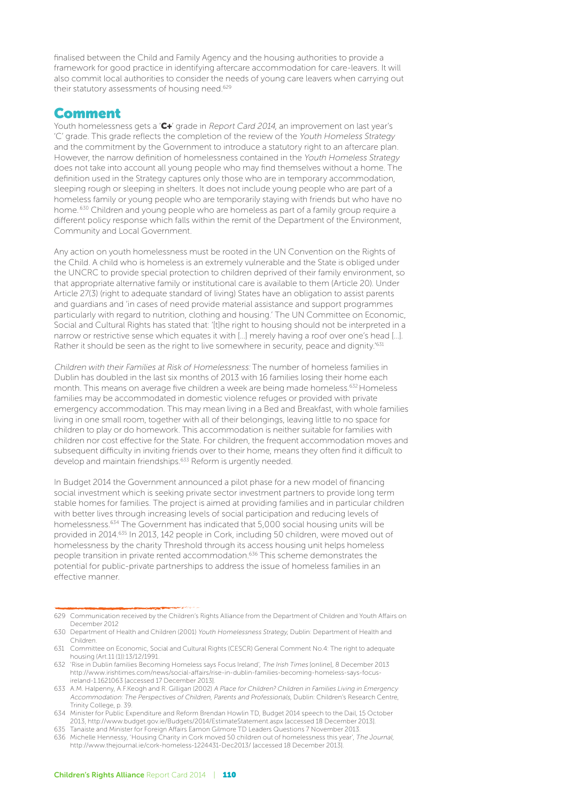finalised between the Child and Family Agency and the housing authorities to provide a framework for good practice in identifying aftercare accommodation for care-leavers. It will also commit local authorities to consider the needs of young care leavers when carrying out their statutory assessments of housing need.<sup>629</sup>

#### Comment

Youth homelessness gets a 'C+' grade in Report Card 2014, an improvement on last year's 'C' grade. This grade reflects the completion of the review of the Youth Homeless Strategy and the commitment by the Government to introduce a statutory right to an aftercare plan. However, the narrow definition of homelessness contained in the Youth Homeless Strategy does not take into account all young people who may find themselves without a home. The definition used in the Strategy captures only those who are in temporary accommodation, sleeping rough or sleeping in shelters. It does not include young people who are part of a homeless family or young people who are temporarily staying with friends but who have no home.<sup>630</sup> Children and young people who are homeless as part of a family group require a different policy response which falls within the remit of the Department of the Environment, Community and Local Government.

Any action on youth homelessness must be rooted in the UN Convention on the Rights of the Child. A child who is homeless is an extremely vulnerable and the State is obliged under the UNCRC to provide special protection to children deprived of their family environment, so that appropriate alternative family or institutional care is available to them (Article 20). Under Article 27(3) (right to adequate standard of living) States have an obligation to assist parents and guardians and 'in cases of need provide material assistance and support programmes particularly with regard to nutrition, clothing and housing.' The UN Committee on Economic, Social and Cultural Rights has stated that: '[t]he right to housing should not be interpreted in a narrow or restrictive sense which equates it with […] merely having a roof over one's head […]. Rather it should be seen as the right to live somewhere in security, peace and dignity.'631

Children with their Families at Risk of Homelessness: The number of homeless families in Dublin has doubled in the last six months of 2013 with 16 families losing their home each month. This means on average five children a week are being made homeless.<sup>632</sup> Homeless families may be accommodated in domestic violence refuges or provided with private emergency accommodation. This may mean living in a Bed and Breakfast, with whole families living in one small room, together with all of their belongings, leaving little to no space for children to play or do homework. This accommodation is neither suitable for families with children nor cost effective for the State. For children, the frequent accommodation moves and subsequent difficulty in inviting friends over to their home, means they often find it difficult to develop and maintain friendships.<sup>633</sup> Reform is urgently needed.

In Budget 2014 the Government announced a pilot phase for a new model of financing social investment which is seeking private sector investment partners to provide long term stable homes for families. The project is aimed at providing families and in particular children with better lives through increasing levels of social participation and reducing levels of homelessness.634 The Government has indicated that 5,000 social housing units will be provided in 2014.635 In 2013, 142 people in Cork, including 50 children, were moved out of homelessness by the charity Threshold through its access housing unit helps homeless people transition in private rented accommodation.<sup>636</sup> This scheme demonstrates the potential for public-private partnerships to address the issue of homeless families in an effective manner.

<sup>629</sup> Communication received by the Children's Rights Alliance from the Department of Children and Youth Affairs on December 2012

<sup>630</sup> Department of Health and Children (2001) Youth Homelessness Strategy, Dublin: Department of Health and Children.

<sup>631</sup> Committee on Economic, Social and Cultural Rights (CESCR) General Comment No.4: The right to adequate housing (Art.11 (1)):13/12/1991.

<sup>632</sup> 'Rise in Dublin families Becoming Homeless says Focus Ireland', The Irish Times [online], 8 December 2013 http://www.irishtimes.com/news/social-affairs/rise-in-dublin-families-becoming-homeless-says-focusireland-1.1621063 [accessed 17 December 2013].

<sup>633</sup> A.M. Halpenny, A.F.Keogh and R. Gilligan (2002) A Place for Children? Children in Families Living in Emergency Accommodation: The Perspectives of Children, Parents and Professionals, Dublin: Children's Research Centre, Trinity College, p. 39.

<sup>634</sup> Minister for Public Expenditure and Reform Brendan Howlin TD, Budget 2014 speech to the Dail, 15 October 2013, http://www.budget.gov.ie/Budgets/2014/EstimateStatement.aspx [accessed 18 December 2013].

<sup>635</sup> Tanaiste and Minister for Foreign Affairs Eamon Gilmore TD Leaders Questions 7 November 2013.

<sup>636</sup> Michelle Hennessy, 'Housing Charity in Cork moved 50 children out of homelessness this year', The Journal, http://www.thejournal.ie/cork-homeless-1224431-Dec2013/ [accessed 18 December 2013].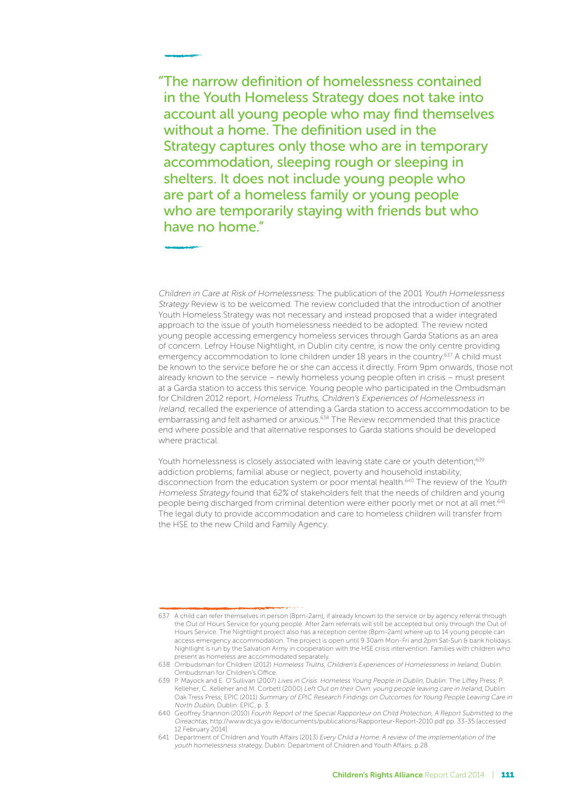"The narrow definition of homelessness contained in the Youth Homeless Strategy does not take into account all young people who may find themselves without a home. The definition used in the Strategy captures only those who are in temporary accommodation, sleeping rough or sleeping in shelters. It does not include young people who are part of a homeless family or young people who are temporarily staying with friends but who have no home"

Children in Care at Risk of Homelessness: The publication of the 2001 Youth Homelessness Strategy Review is to be welcomed. The review concluded that the introduction of another Youth Homeless Strategy was not necessary and instead proposed that a wider integrated approach to the issue of youth homelessness needed to be adopted. The review noted young people accessing emergency homeless services through Garda Stations as an area of concern. Lefroy House Nightlight, in Dublin city centre, is now the only centre providing emergency accommodation to lone children under 18 years in the country.<sup>637</sup> A child must be known to the service before he or she can access it directly. From 9pm onwards, those not already known to the service – newly homeless young people often in crisis – must present at a Garda station to access this service. Young people who participated in the Ombudsman for Children 2012 report, Homeless Truths, Children's Experiences of Homelessness in Ireland, recalled the experience of attending a Garda station to access accommodation to be embarrassing and felt ashamed or anxious.<sup>638</sup> The Review recommended that this practice end where possible and that alternative responses to Garda stations should be developed where practical.

Youth homelessness is closely associated with leaving state care or youth detention;<sup>639</sup> addiction problems; familial abuse or neglect, poverty and household instability; disconnection from the education system or poor mental health.<sup>640</sup> The review of the Youth Homeless Strategy found that 62% of stakeholders felt that the needs of children and young people being discharged from criminal detention were either poorly met or not at all met.<sup>641</sup> The legal duty to provide accommodation and care to homeless children will transfer from the HSE to the new Child and Family Agency.

<sup>637</sup> A child can refer themselves in person (8pm-2am), if already known to the service or by agency referral through the Out of Hours Service for young people. After 2am referrals will still be accepted but only through the Out of Hours Service. The Nightlight project also has a reception centre (8pm-2am) where up to 14 young people can access emergency accommodation. The project is open until 9.30am Mon-Fri and 2pm Sat-Sun & bank holidays. Nightlight is run by the Salvation Army in cooperation with the HSE crisis intervention. Families with children who present as homeless are accommodated separately.

<sup>638</sup> Ombudsman for Children (2012) Homeless Truths, Children's Experiences of Homelessness in Ireland, Dublin: Ombudsman for Children's Office.

<sup>639</sup> P. Mayock and E. O'Sullivan (2007) Lives in Crisis: Homeless Young People in Dublin, Dublin: The Liffey Press; P. Kelleher, C. Kelleher and M. Corbett (2000) Left Out on their Own: young people leaving care in Ireland, Dublin: Oak Tress Press; EPIC (2011) Summary of EPIC Research Findings on Outcomes for Young People Leaving Care in North Dublin, Dublin: EPIC, p. 3.

<sup>640</sup> Geoffrey Shannon (2010) Fourth Report of the Special Rapporteur on Child Protection, A Report Submitted to the Oireachtas, http://www.dcya.gov.ie/documents/publications/Rapporteur-Report-2010.pdf pp. 33-35 [accessed 12 February 2014].

<sup>641</sup> Department of Children and Youth Affairs (2013) Every Child a Home: A review of the implementation of the youth homelessness strategy, Dublin: Department of Children and Youth Affairs, p.28.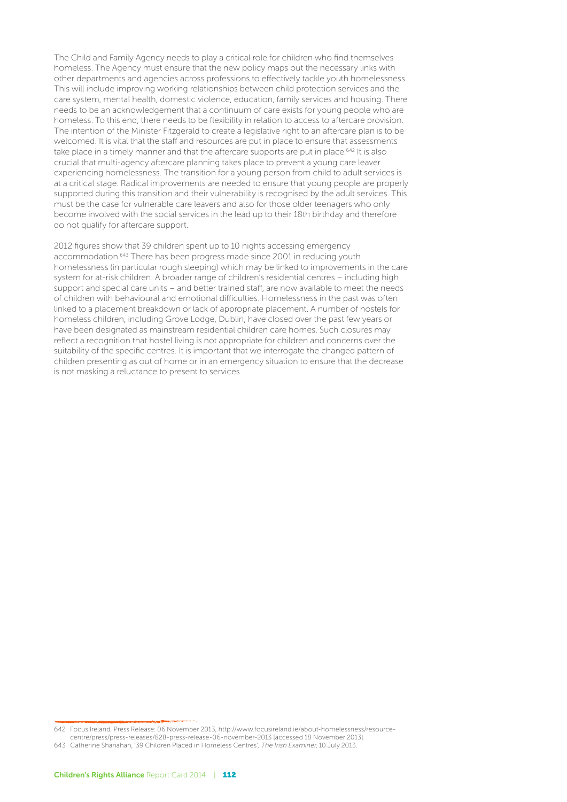The Child and Family Agency needs to play a critical role for children who find themselves homeless. The Agency must ensure that the new policy maps out the necessary links with other departments and agencies across professions to effectively tackle youth homelessness. This will include improving working relationships between child protection services and the care system, mental health, domestic violence, education, family services and housing. There needs to be an acknowledgement that a continuum of care exists for young people who are homeless. To this end, there needs to be flexibility in relation to access to aftercare provision. The intention of the Minister Fitzgerald to create a legislative right to an aftercare plan is to be welcomed. It is vital that the staff and resources are put in place to ensure that assessments take place in a timely manner and that the aftercare supports are put in place.<sup>642</sup> It is also crucial that multi-agency aftercare planning takes place to prevent a young care leaver experiencing homelessness. The transition for a young person from child to adult services is at a critical stage. Radical improvements are needed to ensure that young people are properly supported during this transition and their vulnerability is recognised by the adult services. This must be the case for vulnerable care leavers and also for those older teenagers who only become involved with the social services in the lead up to their 18th birthday and therefore do not qualify for aftercare support.

2012 figures show that 39 children spent up to 10 nights accessing emergency accommodation.643 There has been progress made since 2001 in reducing youth homelessness (in particular rough sleeping) which may be linked to improvements in the care system for at-risk children. A broader range of children's residential centres – including high support and special care units – and better trained staff, are now available to meet the needs of children with behavioural and emotional difficulties. Homelessness in the past was often linked to a placement breakdown or lack of appropriate placement. A number of hostels for homeless children, including Grove Lodge, Dublin, have closed over the past few years or have been designated as mainstream residential children care homes. Such closures may reflect a recognition that hostel living is not appropriate for children and concerns over the suitability of the specific centres. It is important that we interrogate the changed pattern of children presenting as out of home or in an emergency situation to ensure that the decrease is not masking a reluctance to present to services.

<sup>642</sup> Focus Ireland, Press Release: 06 November 2013, http://www.focusireland.ie/about-homelessness/resourcecentre/press/press-releases/828-press-release-06-november-2013 [accessed 18 November 2013].

<sup>643</sup> Catherine Shanahan, '39 Children Placed in Homeless Centres', The Irish Examiner, 10 July 2013.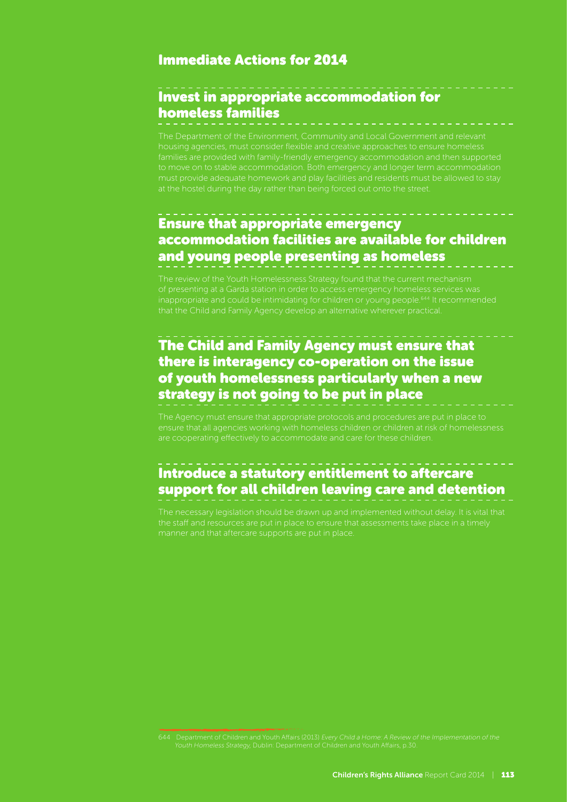#### Immediate Actions for 2014

## Invest in appropriate accommodation for homeless families

The Department of the Environment, Community and Local Government and relevant housing agencies, must consider flexible and creative approaches to ensure homeless families are provided with family-friendly emergency accommodation and then supported

## Ensure that appropriate emergency accommodation facilities are available for children and young people presenting as homeless

that the Child and Family Agency develop an alternative wherever practical.

## The Child and Family Agency must ensure that there is interagency co-operation on the issue of youth homelessness particularly when a new strategy is not going to be put in place

are cooperating effectively to accommodate and care for these children.

#### Introduce a statutory entitlement to aftercare support for all children leaving care and detention

The necessary legislation should be drawn up and implemented without delay. It is vital that manner and that aftercare supports are put in place.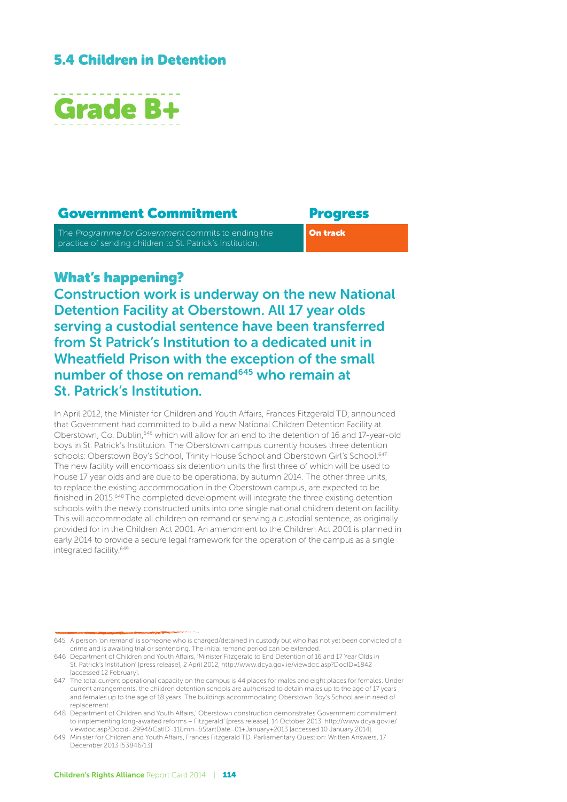## 5.4 Children in Detention



#### Government Commitment Progress

The Programme for Government commits to ending the practice of sending children to St. Patrick's Institution.

On track

#### What's happening?

Construction work is underway on the new National Detention Facility at Oberstown. All 17 year olds serving a custodial sentence have been transferred from St Patrick's Institution to a dedicated unit in Wheatfield Prison with the exception of the small number of those on remand<sup>645</sup> who remain at St. Patrick's Institution.

In April 2012, the Minister for Children and Youth Affairs, Frances Fitzgerald TD, announced that Government had committed to build a new National Children Detention Facility at Oberstown, Co. Dublin,646 which will allow for an end to the detention of 16 and 17-year-old boys in St. Patrick's Institution. The Oberstown campus currently houses three detention schools: Oberstown Boy's School, Trinity House School and Oberstown Girl's School.<sup>647</sup> The new facility will encompass six detention units the first three of which will be used to house 17 year olds and are due to be operational by autumn 2014. The other three units, to replace the existing accommodation in the Oberstown campus, are expected to be finished in 2015.648 The completed development will integrate the three existing detention schools with the newly constructed units into one single national children detention facility. This will accommodate all children on remand or serving a custodial sentence, as originally provided for in the Children Act 2001. An amendment to the Children Act 2001 is planned in early 2014 to provide a secure legal framework for the operation of the campus as a single integrated facility.<sup>649</sup>

<sup>645</sup> A person 'on remand' is someone who is charged/detained in custody but who has not yet been convicted of a crime and is awaiting trial or sentencing. The initial remand period can be extended.

<sup>646</sup> Department of Children and Youth Affairs, 'Minister Fitzgerald to End Detention of 16 and 17 Year Olds in St. Patrick's Institution' [press release], 2 April 2012, http://www.dcya.gov.ie/viewdoc.asp?DocID=1842 [accessed 12 February].

<sup>647</sup> The total current operational capacity on the campus is 44 places for males and eight places for females. Under current arrangements, the children detention schools are authorised to detain males up to the age of 17 years and females up to the age of 18 years. The buildings accommodating Oberstown Boy's School are in need of replacement.

<sup>648</sup> Department of Children and Youth Affairs,' Oberstown construction demonstrates Government commitment to implementing long-awaited reforms – Fitzgerald' [press release], 14 October 2013, http://www.dcya.gov.ie/ viewdoc.asp?Docid=2994&CatID=11&mn=&StartDate=01+January+2013 [accessed 10 January 2014].

<sup>649</sup> Minister for Children and Youth Affairs, Frances Fitzgerald TD, Parliamentary Question: Written Answers, 17 December 2013 [53846/13].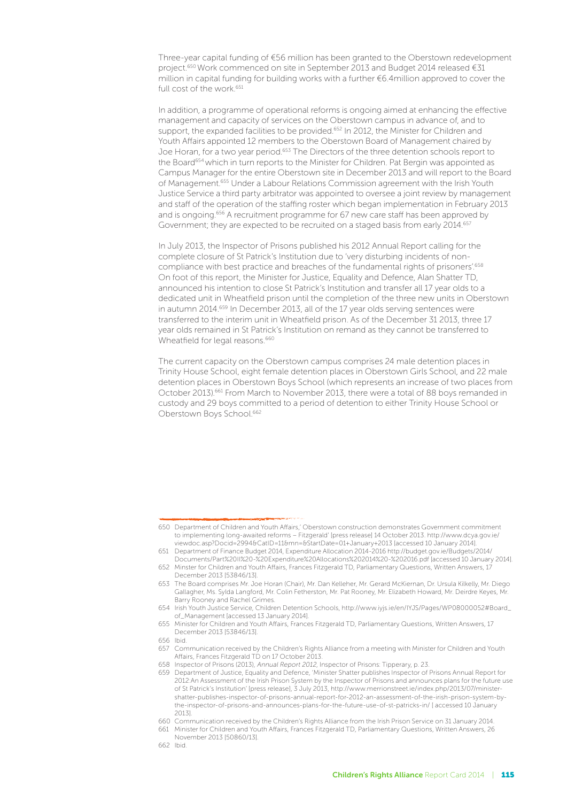Three-year capital funding of €56 million has been granted to the Oberstown redevelopment project.<sup>650</sup> Work commenced on site in September 2013 and Budget 2014 released €31 million in capital funding for building works with a further €6.4million approved to cover the full cost of the work.<sup>651</sup>

In addition, a programme of operational reforms is ongoing aimed at enhancing the effective management and capacity of services on the Oberstown campus in advance of, and to support, the expanded facilities to be provided.<sup>652</sup> In 2012, the Minister for Children and Youth Affairs appointed 12 members to the Oberstown Board of Management chaired by Joe Horan, for a two year period.<sup>653</sup> The Directors of the three detention schools report to the Board<sup>654</sup> which in turn reports to the Minister for Children. Pat Bergin was appointed as Campus Manager for the entire Oberstown site in December 2013 and will report to the Board of Management.655 Under a Labour Relations Commission agreement with the Irish Youth Justice Service a third party arbitrator was appointed to oversee a joint review by management and staff of the operation of the staffing roster which began implementation in February 2013 and is ongoing.656 A recruitment programme for 67 new care staff has been approved by Government; they are expected to be recruited on a staged basis from early 2014.657

In July 2013, the Inspector of Prisons published his 2012 Annual Report calling for the complete closure of St Patrick's Institution due to 'very disturbing incidents of noncompliance with best practice and breaches of the fundamental rights of prisoners'.<sup>658</sup> On foot of this report, the Minister for Justice, Equality and Defence, Alan Shatter TD, announced his intention to close St Patrick's Institution and transfer all 17 year olds to a dedicated unit in Wheatfield prison until the completion of the three new units in Oberstown in autumn 2014.<sup>659</sup> In December 2013, all of the 17 year olds serving sentences were transferred to the interim unit in Wheatfield prison. As of the December 31 2013, three 17 year olds remained in St Patrick's Institution on remand as they cannot be transferred to Wheatfield for legal reasons.<sup>660</sup>

The current capacity on the Oberstown campus comprises 24 male detention places in Trinity House School, eight female detention places in Oberstown Girls School, and 22 male detention places in Oberstown Boys School (which represents an increase of two places from October 2013).<sup>661</sup> From March to November 2013, there were a total of 88 boys remanded in custody and 29 boys committed to a period of detention to either Trinity House School or Oberstown Boys School.<sup>662</sup>

662 Ibid.

<sup>650</sup> Department of Children and Youth Affairs,' Oberstown construction demonstrates Government commitment to implementing long-awaited reforms – Fitzgerald' [press release] 14 October 2013. http://www.dcya.gov.ie/ viewdoc.asp?Docid=2994&CatID=11&mn=&StartDate=01+January+2013 [accessed 10 January 2014].

<sup>651</sup> Department of Finance Budget 2014, Expenditure Allocation 2014-2016 http://budget.gov.ie/Budgets/2014/ Documents/Part%20II%20-%20Expenditure%20Allocations%202014%20-%202016.pdf [accessed 10 January 2014]. 652 Minster for Children and Youth Affairs, Frances Fitzgerald TD, Parliamentary Questions, Written Answers, 17

December 2013 [53846/13].

<sup>653</sup> The Board comprises Mr. Joe Horan (Chair), Mr. Dan Kelleher, Mr. Gerard McKiernan, Dr. Ursula Kilkelly, Mr. Diego Gallagher, Ms. Sylda Langford, Mr. Colin Fetherston, Mr. Pat Rooney, Mr. Elizabeth Howard, Mr. Deirdre Keyes, Mr. Barry Rooney and Rachel Grimes.

<sup>654</sup> Irish Youth Justice Service, Children Detention Schools, http://www.iyjs.ie/en/IYJS/Pages/WP08000052#Board\_ of\_Management [accessed 13 January 2014].

<sup>655</sup> Minister for Children and Youth Affairs, Frances Fitzgerald TD, Parliamentary Questions, Written Answers, 17 December 2013 [53846/13].

<sup>656</sup> Ibid.

<sup>657</sup> Communication received by the Children's Rights Alliance from a meeting with Minister for Children and Youth Affairs, Frances Fitzgerald TD on 17 October 2013.

<sup>658</sup> Inspector of Prisons (2013), Annual Report 2012, Inspector of Prisons: Tipperary, p. 23.

<sup>659</sup> Department of Justice, Equality and Defence, 'Minister Shatter publishes Inspector of Prisons Annual Report for 2012:An Assessment of the Irish Prison System by the Inspector of Prisons and announces plans for the future use of St Patrick's Institution' [press release], 3 July 2013, http://www.merrionstreet.ie/index.php/2013/07/ministershatter-publishes-inspector-of-prisons-annual-report-for-2012-an-assessment-of-the-irish-prison-system-bythe-inspector-of-prisons-and-announces-plans-for-the-future-use-of-st-patricks-in/ [ accessed 10 January 2013].

<sup>660</sup> Communication received by the Children's Rights Alliance from the Irish Prison Service on 31 January 2014.

<sup>661</sup> Minister for Children and Youth Affairs, Frances Fitzgerald TD, Parliamentary Questions, Written Answers, 26 November 2013 [50860/13].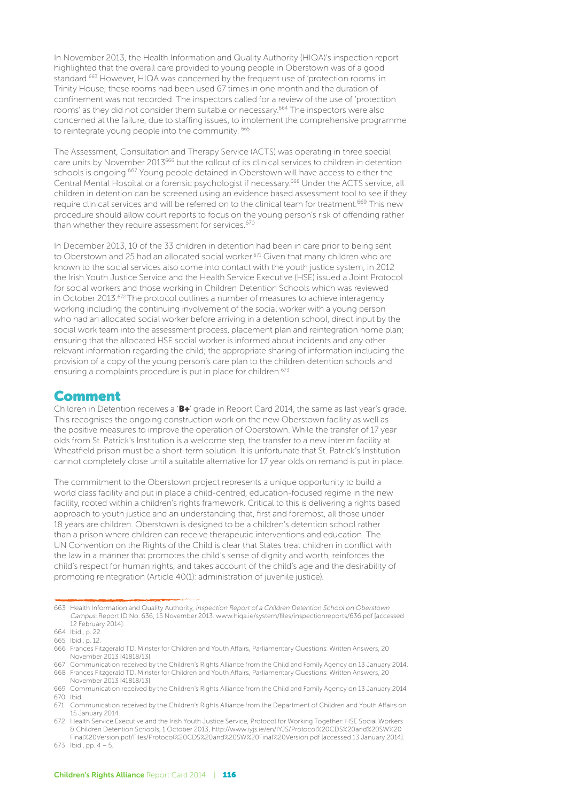In November 2013, the Health Information and Quality Authority (HIQA)'s inspection report highlighted that the overall care provided to young people in Oberstown was of a good standard.663 However, HIQA was concerned by the frequent use of 'protection rooms' in Trinity House; these rooms had been used 67 times in one month and the duration of confinement was not recorded. The inspectors called for a review of the use of 'protection rooms' as they did not consider them suitable or necessary.664 The inspectors were also concerned at the failure, due to staffing issues, to implement the comprehensive programme to reintegrate young people into the community. <sup>665</sup>

The Assessment, Consultation and Therapy Service (ACTS) was operating in three special care units by November 2013<sup>666</sup> but the rollout of its clinical services to children in detention schools is ongoing.<sup>667</sup> Young people detained in Oberstown will have access to either the Central Mental Hospital or a forensic psychologist if necessary.668 Under the ACTS service, all children in detention can be screened using an evidence based assessment tool to see if they require clinical services and will be referred on to the clinical team for treatment.<sup>669</sup> This new procedure should allow court reports to focus on the young person's risk of offending rather than whether they require assessment for services.<sup>670</sup>

In December 2013, 10 of the 33 children in detention had been in care prior to being sent to Oberstown and 25 had an allocated social worker.<sup>671</sup> Given that many children who are known to the social services also come into contact with the youth justice system, in 2012 the Irish Youth Justice Service and the Health Service Executive (HSE) issued a Joint Protocol for social workers and those working in Children Detention Schools which was reviewed in October 2013.672 The protocol outlines a number of measures to achieve interagency working including the continuing involvement of the social worker with a young person who had an allocated social worker before arriving in a detention school, direct input by the social work team into the assessment process, placement plan and reintegration home plan; ensuring that the allocated HSE social worker is informed about incidents and any other relevant information regarding the child; the appropriate sharing of information including the provision of a copy of the young person's care plan to the children detention schools and ensuring a complaints procedure is put in place for children.<sup>673</sup>

#### Comment

Children in Detention receives a 'B+' grade in Report Card 2014, the same as last year's grade. This recognises the ongoing construction work on the new Oberstown facility as well as the positive measures to improve the operation of Oberstown. While the transfer of 17 year olds from St. Patrick's Institution is a welcome step, the transfer to a new interim facility at Wheatfield prison must be a short-term solution. It is unfortunate that St. Patrick's Institution cannot completely close until a suitable alternative for 17 year olds on remand is put in place.

The commitment to the Oberstown project represents a unique opportunity to build a world class facility and put in place a child-centred, education-focused regime in the new facility, rooted within a children's rights framework. Critical to this is delivering a rights based approach to youth justice and an understanding that, first and foremost, all those under 18 years are children. Oberstown is designed to be a children's detention school rather than a prison where children can receive therapeutic interventions and education. The UN Convention on the Rights of the Child is clear that States treat children in conflict with the law in a manner that promotes the child's sense of dignity and worth, reinforces the child's respect for human rights, and takes account of the child's age and the desirability of promoting reintegration (Article 40(1): administration of juvenile justice).

<sup>663</sup> Health Information and Quality Authority, Inspection Report of a Children Detention School on Oberstown Campus: Report ID No. 636, 15 November 2013. www.hiqa.ie/system/files/inspectionreports/636.pdf [accessed 12 February 2014].

<sup>664</sup> Ibid., p. 22.

<sup>665</sup> Ibid., p. 12.

<sup>666</sup> Frances Fitzgerald TD, Minster for Children and Youth Affairs, Parliamentary Questions: Written Answers, 20 November 2013 [41818/13].

<sup>667</sup> Communication received by the Children's Rights Alliance from the Child and Family Agency on 13 January 2014. 668 Frances Fitzgerald TD, Minster for Children and Youth Affairs, Parliamentary Questions: Written Answers, 20 November 2013 [41818/13].

<sup>669</sup> Communication received by the Children's Rights Alliance from the Child and Family Agency on 13 January 2014 670 Ibid.

<sup>671</sup> Communication received by the Children's Rights Alliance from the Department of Children and Youth Affairs on 15 January 2014.

<sup>672</sup> Health Service Executive and the Irish Youth Justice Service, Protocol for Working Together: HSE Social Workers & Children Detention Schools, 1 October 2013, http://www.iyjs.ie/en/IYJS/Protocol%20CDS%20and%20SW%20 Final%20Version.pdf/Files/Protocol%20CDS%20and%20SW%20Final%20Version.pdf [accessed 13 January 2014].

<sup>673</sup> Ibid., pp. 4 – 5.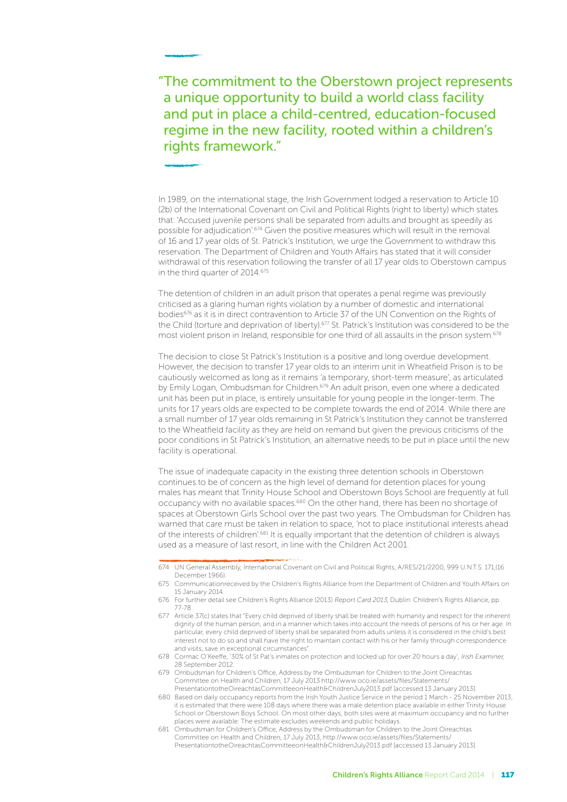#### "The commitment to the Oberstown project represents a unique opportunity to build a world class facility and put in place a child-centred, education-focused regime in the new facility, rooted within a children's rights framework."

In 1989, on the international stage, the Irish Government lodged a reservation to Article 10 (2b) of the International Covenant on Civil and Political Rights (right to liberty) which states that: 'Accused juvenile persons shall be separated from adults and brought as speedily as possible for adjudication'.674 Given the positive measures which will result in the removal of 16 and 17 year olds of St. Patrick's Institution, we urge the Government to withdraw this reservation. The Department of Children and Youth Affairs has stated that it will consider withdrawal of this reservation following the transfer of all 17 year olds to Oberstown campus in the third quarter of 2014.675

The detention of children in an adult prison that operates a penal regime was previously criticised as a glaring human rights violation by a number of domestic and international bodies<sup>676</sup> as it is in direct contravention to Article 37 of the UN Convention on the Rights of the Child (torture and deprivation of liberty).<sup>677</sup> St. Patrick's Institution was considered to be the most violent prison in Ireland, responsible for one third of all assaults in the prison system.<sup>678</sup>

The decision to close St Patrick's Institution is a positive and long overdue development. However, the decision to transfer 17 year olds to an interim unit in Wheatfield Prison is to be cautiously welcomed as long as it remains 'a temporary, short-term measure', as articulated by Emily Logan, Ombudsman for Children.<sup>679</sup> An adult prison, even one where a dedicated unit has been put in place, is entirely unsuitable for young people in the longer-term. The units for 17 years olds are expected to be complete towards the end of 2014. While there are a small number of 17 year olds remaining in St Patrick's Institution they cannot be transferred to the Wheatfield facility as they are held on remand but given the previous criticisms of the poor conditions in St Patrick's Institution, an alternative needs to be put in place until the new facility is operational.

The issue of inadequate capacity in the existing three detention schools in Oberstown continues to be of concern as the high level of demand for detention places for young males has meant that Trinity House School and Oberstown Boys School are frequently at full occupancy with no available spaces.<sup>680</sup> On the other hand, there has been no shortage of spaces at Oberstown Girls School over the past two years. The Ombudsman for Children has warned that care must be taken in relation to space, 'not to place institutional interests ahead of the interests of children'.681 It is equally important that the detention of children is always used as a measure of last resort, in line with the Children Act 2001.

<sup>674</sup> UN General Assembly, International Covenant on Civil and Political Rights, A/RES/21/2200, 999 U.N.T.S. 171,(16 December 1966).

<sup>675</sup> Communicationreceived by the Children's Rights Alliance from the Department of Children and Youth Affairs on 15 January 2014.

<sup>676</sup> For further detail see Children's Rights Alliance (2013) Report Card 2013, Dublin: Children's Rights Alliance, pp. 77-78.

<sup>677</sup> Article 37(c) states that "Every child deprived of liberty shall be treated with humanity and respect for the inherent dignity of the human person, and in a manner which takes into account the needs of persons of his or her age. In particular, every child deprived of liberty shall be separated from adults unless it is considered in the child's best interest not to do so and shall have the right to maintain contact with his or her family through correspondence and visits, save in exceptional circumstances

<sup>678</sup> Cormac O'Keeffe, '30% of St Pat's inmates on protection and locked up for over 20 hours a day', Irish Examiner, 28 September 2012.

<sup>679</sup> Ombudsman for Children's Office, Address by the Ombudsman for Children to the Joint Oireachtas Committee on Health and Children, 17 July 2013 http://www.oco.ie/assets/files/Statements/ PresentationtotheOireachtasCommitteeonHealth&ChildrenJuly2013.pdf [accessed 13 January 2013].

<sup>680</sup> Based on daily occupancy reports from the Irish Youth Justice Service in the period 1 March - 25 November 2013, it is estimated that there were 108 days where there was a male detention place available in either Trinity House School or Oberstown Boys School. On most other days, both sites were at maximum occupancy and no further places were available. The estimate excludes weekends and public holidays.

<sup>681</sup> Ombudsman for Children's Office, Address by the Ombudsman for Children to the Joint Oireachtas Committee on Health and Children, 17 July 2013, http://www.oco.ie/assets/files/Statements/ PresentationtotheOireachtasCommitteeonHealth&ChildrenJuly2013.pdf [accessed 13 January 2013].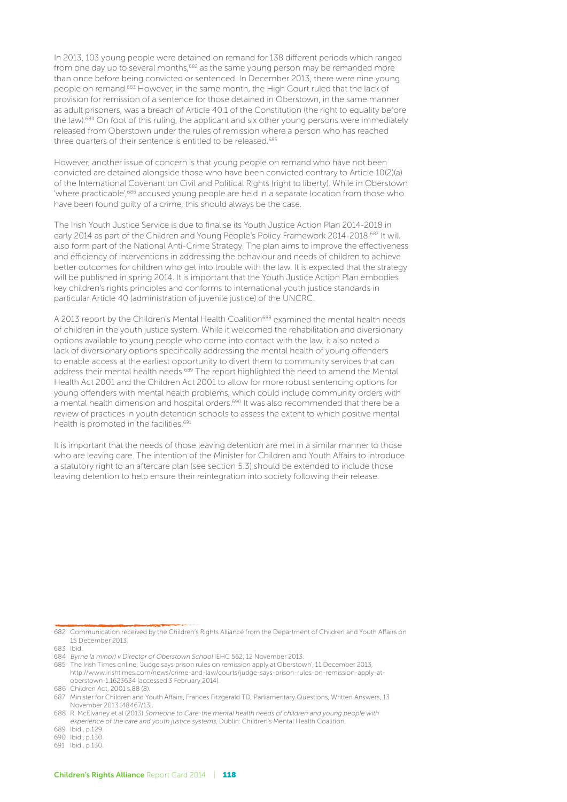In 2013, 103 young people were detained on remand for 138 different periods which ranged from one day up to several months,682 as the same young person may be remanded more than once before being convicted or sentenced. In December 2013, there were nine young people on remand.683 However, in the same month, the High Court ruled that the lack of provision for remission of a sentence for those detained in Oberstown, in the same manner as adult prisoners, was a breach of Article 40.1 of the Constitution (the right to equality before the law).<sup>684</sup> On foot of this ruling, the applicant and six other young persons were immediately released from Oberstown under the rules of remission where a person who has reached three quarters of their sentence is entitled to be released.<sup>685</sup>

However, another issue of concern is that young people on remand who have not been convicted are detained alongside those who have been convicted contrary to Article 10(2)(a) of the International Covenant on Civil and Political Rights (right to liberty). While in Oberstown 'where practicable',<sup>686</sup> accused young people are held in a separate location from those who have been found guilty of a crime, this should always be the case.

The Irish Youth Justice Service is due to finalise its Youth Justice Action Plan 2014-2018 in early 2014 as part of the Children and Young People's Policy Framework 2014-2018.<sup>687</sup> It will also form part of the National Anti-Crime Strategy. The plan aims to improve the effectiveness and efficiency of interventions in addressing the behaviour and needs of children to achieve better outcomes for children who get into trouble with the law. It is expected that the strategy will be published in spring 2014. It is important that the Youth Justice Action Plan embodies key children's rights principles and conforms to international youth justice standards in particular Article 40 (administration of juvenile justice) of the UNCRC.

A 2013 report by the Children's Mental Health Coalition<sup>688</sup> examined the mental health needs of children in the youth justice system. While it welcomed the rehabilitation and diversionary options available to young people who come into contact with the law, it also noted a lack of diversionary options specifically addressing the mental health of young offenders to enable access at the earliest opportunity to divert them to community services that can address their mental health needs.<sup>689</sup> The report highlighted the need to amend the Mental Health Act 2001 and the Children Act 2001 to allow for more robust sentencing options for young offenders with mental health problems, which could include community orders with a mental health dimension and hospital orders.<sup>690</sup> It was also recommended that there be a review of practices in youth detention schools to assess the extent to which positive mental health is promoted in the facilities.<sup>691</sup>

It is important that the needs of those leaving detention are met in a similar manner to those who are leaving care. The intention of the Minister for Children and Youth Affairs to introduce a statutory right to an aftercare plan (see section 5.3) should be extended to include those leaving detention to help ensure their reintegration into society following their release.

<sup>682</sup> Communication received by the Children's Rights Alliance from the Department of Children and Youth Affairs on 15 December 2013.

<sup>683</sup> Ibid.

<sup>684</sup> Byrne (a minor) v Director of Oberstown School IEHC 562, 12 November 2013.

<sup>685</sup> The Irish Times online, 'Judge says prison rules on remission apply at Oberstown', 11 December 2013, http://www.irishtimes.com/news/crime-and-law/courts/judge-says-prison-rules-on-remission-apply-atoberstown-1.1623634 [accessed 3 February 2014].

<sup>686</sup> Children Act, 2001 s.88 (8).

<sup>687</sup> Minister for Children and Youth Affairs, Frances Fitzgerald TD, Parliamentary Questions, Written Answers, 13 November 2013 [48467/13].

<sup>688</sup> R. McElvaney et al (2013) Someone to Care: the mental health needs of children and young people with experience of the care and youth justice systems, Dublin: Children's Mental Health Coalition.

<sup>689</sup> Ibid., p.129.

<sup>690</sup> Ibid., p.130.

<sup>691</sup> Ibid., p.130.